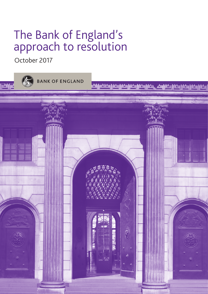# The Bank of England's approach to resolution

October 2017

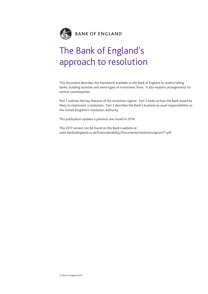

## The Bank of England's approach to resolution

This document describes the framework available to the Bank of England to resolve failing banks, building societies and some types of investment firms. It also explains arrangements for central counterparties.

Part 1 outlines the key features of the resolution regime. Part 2 looks at how the Bank would be likely to implement a resolution. Part 3 describes the Bank's business as usual responsibilities as the United Kingdom's resolution authority.

This publication updates a previous one issued in 2014.

This 2017 version can be found on the Bank's website at www.bankofengland.co.uk/financialstability/Documents/resolution/aproct17.pdf.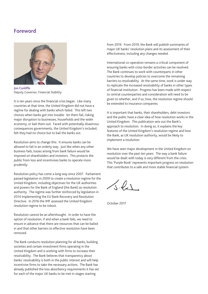## Foreword



Jon Cunliffe Deputy Governor, Financial Stability

It is ten years since the financial crisis began. Like many countries at that time, the United Kingdom did not have a regime for dealing with banks which failed. This left two choices when banks got into trouble: let them fail, risking major disruption to businesses, households and the wider economy, or bail them out. Faced with potentially disastrous consequences governments, the United Kingdom's included, felt they had no choice but to bail the banks out.

Resolution aims to change this. It ensures banks can be allowed to fail in an orderly way. Just like when any other business fails, losses arising from bank failure would be imposed on shareholders and investors. This protects the public from loss and incentivises banks to operate more prudently.

Resolution policy has come a long way since 2007. Parliament passed legislation in 2009 to create a resolution regime for the United Kingdom, including objectives for the UK authorities and powers for the Bank of England (the Bank) as resolution authority. The regime was further reinforced by legislation in 2014 implementing the EU Bank Recovery and Resolution Directive. In 2016 the IMF assessed the United Kingdom resolution regime to be robust.

Resolution cannot be an afterthought. In order to have the option of resolution, if and when a bank fails, we need to ensure in advance that there are resources that can be bailed in and that other barriers to effective resolution have been removed.

The Bank conducts resolution planning for all banks, building societies and certain investment firms operating in the United Kingdom and is working with firms to increase their resolvability. The Bank believes that transparency about banks' resolvability is both in the public interest and will help incentivise firms to take the necessary actions. The Bank has already published the loss absorbency requirements it has set for each of the major UK banks to be met in stages starting

from 2019. From 2019, the Bank will publish summaries of major UK banks' resolution plans and its assessment of their effectiveness, including any changes needed.

International co-operation remains a critical component of ensuring banks with cross-border activities can be resolved. The Bank continues to work with counterparts in other countries to develop policies to overcome the remaining barriers to resolvability. At the same time, work is under way to replicate the increased resolvability of banks in other types of financial institution. Progress has been made with respect to central counterparties and consideration will need to be given to whether, and if so, how, the resolution regime should be extended to insurance companies.

It is important that banks, their shareholders, debt investors and the public have a clear idea of how resolution works in the United Kingdom. This publication sets out the Bank's approach to resolution. In doing so, it explains the key features of the United Kingdom's resolution regime and how the Bank, as UK resolution authority, would be likely to implement a resolution.

We have seen major development in the United Kingdom on resolution over the past ten years. The way a bank failure would be dealt with today is very different from the crisis. This 'Purple Book' represents important progress on resolution that contributes to a safe and more stable financial system.

 $\sqrt{s}$ les

October 2017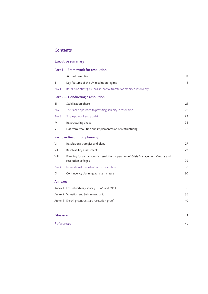## **Contents**

## Executive summary

|                | Part 1 - Framework for resolution                                                                        |    |  |  |
|----------------|----------------------------------------------------------------------------------------------------------|----|--|--|
| L              | Aims of resolution                                                                                       | 11 |  |  |
| Ш              | Key features of the UK resolution regime                                                                 |    |  |  |
| Box 1          | Resolution strategies: bail-in, partial transfer or modified insolvency                                  | 16 |  |  |
|                | Part 2 – Conducting a resolution                                                                         |    |  |  |
| III            | Stabilisation phase                                                                                      | 21 |  |  |
| Box 2          | The Bank's approach to providing liquidity in resolution                                                 | 22 |  |  |
| Box 3          | Single point of entry bail-in                                                                            | 24 |  |  |
| IV             | Restructuring phase                                                                                      | 26 |  |  |
| V              | Exit from resolution and implementation of restructuring                                                 | 26 |  |  |
|                | Part 3 - Resolution planning                                                                             |    |  |  |
| VI             | Resolution strategies and plans                                                                          | 27 |  |  |
| VII            | Resolvability assessments                                                                                | 27 |  |  |
| VIII           | Planning for a cross-border resolution: operation of Crisis Management Groups and<br>resolution colleges | 29 |  |  |
| Box 4          | International co-ordination on resolution                                                                | 30 |  |  |
| IX             | Contingency planning as risks increase                                                                   | 30 |  |  |
| <b>Annexes</b> |                                                                                                          |    |  |  |
|                | Annex 1 Loss-absorbing capacity: TLAC and MREL                                                           | 32 |  |  |
|                | Annex 2 Valuation and bail-in mechanic                                                                   | 36 |  |  |
|                | Annex 3 Ensuring contracts are resolution-proof                                                          | 40 |  |  |
|                |                                                                                                          |    |  |  |
| Glossary       |                                                                                                          |    |  |  |

References 45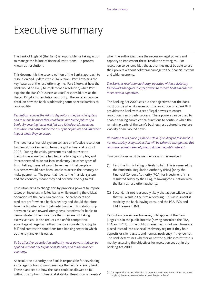## Executive summary

The Bank of England (the Bank) is responsible for taking action to manage the failure of financial institutions — a process known as 'resolution'.

This document is the second edition of the Bank's approach to resolution and updates the 2014 version. Part 1 explains the key features of the resolution regime. Part 2 looks at how the Bank would be likely to implement a resolution, while Part 3 explains the Bank's 'business as usual' responsibilities as the United Kingdom's resolution authority. The annexes provide detail on how the Bank is addressing some specific barriers to resolvability.

*Resolution reduces the risks to depositors, the financial system and to public finances that could arise due to the failure of a bank. By ensuring losses will fall on a failed bank's investors, resolution can both reduce the risk of bank failures and limit their impact when they do occur.* 

The need for a financial system to have an effective resolution framework is a key lesson from the global financial crisis of 2008. During the crisis, governments had to resort to 'bailouts' as some banks had become too big, complex, and interconnected to be put into insolvency like other types of firm. Letting them fail would have meant that people or businesses would have been unable to access their money or make payments. The potential risks to the financial system and the economy meant they had become 'too big to fail'.

Resolution aims to change this by providing powers to impose losses on investors in failed banks while ensuring the critical operations of the bank can continue. Shareholders and creditors profit when a bank is healthy and should therefore take the hit when a bank gets into trouble. This relationship between risk and reward strengthens incentives for banks to demonstrate to their investors that they are not taking excessive risks. It also reduces the unfair competitive advantage of large banks that investors consider 'too big to fail' and creates the conditions for a banking sector in which both entry and exit is easier.

*To be effective, a resolution authority needs powers that can be applied without risk to financial stability and to the broader economy.*

As resolution authority, the Bank is responsible for developing a strategy for how it would manage the failure of every bank. These plans set out how the bank could be allowed to fail without disruption to financial stability. Resolution is 'feasible' when the authorities have the necessary legal powers and capacity to implement these 'resolution strategies'. For resolution to be 'credible', the authorities must be able to use their powers without collateral damage to the financial system and wider economy.

*The Bank, as resolution authority, operates within a statutory framework that gives it legal powers to resolve banks in order to meet certain objectives.*

The Banking Act 2009 sets out the objectives that the Bank must pursue when it carries out the resolution of a bank.(1) It provides the Bank with a set of legal powers to ensure resolution is an orderly process. These powers can be used to enable a failing bank's critical functions to continue while the remaining parts of the bank's business restructured to restore viability or are wound down.

*Resolution takes place if a bank is 'failing or likely to fail' and it is not reasonably likely that action will be taken to change this. But resolution powers are only used if it is in the public interest.* 

Two conditions must be met before a firm is resolved:

- (1) First, the firm is failing or likely to fail. This is assessed by the Prudential Regulation Authority (PRA) (or by the Financial Conduct Authority (FCA) for investment firms regulated solely by the FCA), following consultation with the Bank as resolution authority.
- (2) Second, it is not reasonably likely that action will be taken that will result in the firm recovering. This assessment is made by the Bank, having consulted the PRA, FCA and HM Treasury (HMT).

Resolution powers are, however, only applied if the Bank judges it is in the public interest (having consulted the PRA, FCA and HMT). If the public interest test is not met, firms are placed instead into a special insolvency regime if they hold deposits or client assets and normal insolvency if they do not. The Bank determines whether or not the public interest test is met by assessing the objectives for resolution set out in the Banking Act 2009.

<sup>(1)</sup> The regime also applies to building societies and investment firms but for the sake of simplicity these are hereafter referred to as 'banks' or 'firms'.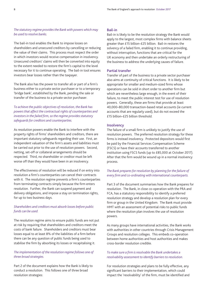## *The statutory regime provides the Bank with powers which may be used to resolve banks.*

The bail-in tool enables the Bank to impose losses on shareholders and unsecured creditors by cancelling or reducing the value of their claims. This process must respect the order in which investors would receive compensation in insolvency. Unsecured creditors' claims will then be converted into equity to the extent needed to restore the firm's capital to the level necessary for it to continue operating. The bail-in tool ensures investors bear losses rather than the taxpayer.

The Bank also has the power to transfer all or part of a firm's business either to a private sector purchaser or to a temporary 'bridge bank', established by the Bank, pending the sale or transfer of the business to a private sector purchaser.

*To achieve the public objectives of resolution, the Bank has powers that affect the contractual rights of counterparties and investors in the failed firm, so the regime provides statutory safeguards for creditors and counterparties.* 

As resolution powers enable the Bank to interfere with the property rights of firms' shareholders and creditors, there are important statutory safeguards regarding their use. First, an independent valuation of the firm's assets and liabilities must be carried out prior to the use of resolution powers. Second, netting, set-off or collateral arrangements should be respected. Third, no shareholder or creditor must be left worse off than they would have been in an insolvency.

The effectiveness of resolution will be reduced if on entry into resolution a firm's counterparties can cancel their contracts with it. The resolution regime prevents a firm's counterparties from terminating contracts simply because the firm enters resolution. Further, the Bank can suspend payment and delivery obligations, and impose a stay on termination rights, for up to two business days.

## *Shareholders and creditors must absorb losses before public funds can be used.*

The resolution regime aims to ensure public funds are not put at risk by requiring that shareholders and creditors meet the costs of bank failure. Shareholders and creditors must bear losses equal to at least 8% of the liabilities of a firm before there can be any question of public funds being used to stabilise the firm by absorbing its losses or recapitalising it.

## *The implementation of the resolution regime follows one of three broad strategies.*

Part 2 of the document explains how the Bank is likely to conduct a resolution. This follows one of three broad resolution strategies:

## Bail-in

Bail-in is likely to be the resolution strategy the Bank would apply to the largest, most complex firms with balance sheets greater than £15 billion–£25 billion. Bail-in restores the solvency of a failed firm, enabling it to continue providing, without interruption, functions that are critical for the UK economy and then undertake an orderly restructuring of the business to address the underlying causes of failure.

## Partial transfer

Transfer of part of the business to a private sector purchaser also aims at continuity of critical functions. It is likely to be appropriate for smaller and medium-sized firms whose operations can be sold in short order to another firm but which are nevertheless large enough, in the event of their failure, to meet the public interest test for use of resolution powers. Generally, these are firms that provide at least 40,000–80,000 transaction-based retail accounts (ie current accounts that are regularly used), but do not exceed the £15 billion–£25 billion threshold.

## **Insolvency**

The failure of a small firm is unlikely to justify the use of resolution powers. The preferred resolution strategy for these firms is instead insolvency. Protected depositors would first be paid by the Financial Services Compensation Scheme (FSCS) or have their accounts transferred to another institution using FSCS funds (up to £85,000 at October 2017). After that the firm would be wound up in a normal insolvency process.

## *The Bank prepares for resolution by planning for the failure of every firm and co-ordinating with international counterparts.*

Part 3 of the document summarises how the Bank prepares for resolution. The Bank, in close co-operation with the PRA and FCA, has a statutory responsibility to identify a preferred resolution strategy and develop a resolution plan for every firm or group in the United Kingdom. The Bank must provide HMT with an assessment of potential risks to public funds where the resolution plan involves the use of resolution powers.

As many groups have international activities, the Bank works with authorities in other countries through Crisis Management Groups and resolution colleges. This embeds co-operation between home authorities and host authorities and makes cross-border resolution credible.

## *To make sure a firm is resolvable the Bank undertakes a resolvability assessment to identify barriers to resolution.*

For resolution strategies and plans to be fully effective, any significant barriers to their implementation, which could impact the 'resolvability' of the firm, must be identified and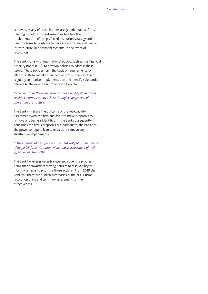removed. Many of these barriers are generic, such as firms needing to hold sufficient resources to allow the implementation of the preferred resolution strategy and the need for firms to continue to have access to financial market infrastructure, like payment systems, in the event of resolution.

The Bank works with international bodies, such as the Financial Stability Board (FSB), to develop policies to address these issues. These policies form the basis of requirements for UK firms. Resolvability of individual firms is then assessed regularly to monitor implementation and identify substantive barriers to the execution of the resolution plan.

## *If the Bank finds there are barriers to resolvability it has powers to direct a firm to remove these through changes to their operations or structure.*

The Bank will share the outcome of the resolvability assessment with the firm and ask it to make proposals to remove any barriers identified. If the Bank subsequently concludes the firm's proposals are inadequate, the Bank has the power to require it to take steps to remove any substantive impediments.

*In the interests of transparency, the Bank will publish summaries of major UK firms' resolution plans and its assessment of their effectiveness from 2019.* 

The Bank believes greater transparency over the progress being made towards removing barriers to resolvability will incentivise firms to prioritise those actions. From 2019 the Bank will therefore publish summaries of major UK firms' resolution plans and summary assessments of their effectiveness.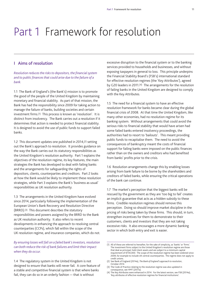# <span id="page-12-0"></span>Part 1 Framework for resolution

## I Aims of resolution

*Resolution reduces the risks to depositors, the financial system and to public finances that could arise due to the failure of a bank.*

1.1 The Bank of England's (the Bank's) mission is to promote the good of the people of the United Kingdom by maintaining monetary and financial stability. As part of that mission, the Bank has had the responsibility since 2009 for taking action to manage the failure of banks, building societies and certain investment firms.(1) This process is known as 'resolution'. It is distinct from insolvency. The Bank carries out a resolution if it determines that action is needed to protect financial stability. It is designed to avoid the use of public funds to support failed banks.

1.2 This document updates one published in 2014,(2) setting out the Bank's approach to resolution. It provides guidance on the way the Bank carries out its statutory responsibilities as the United Kingdom's resolution authority. Part 1 explains the objectives of the resolution regime, its key features, the main strategies the Bank has developed to deal with failing banks and the arrangements for safeguarding the rights of depositors, clients, counterparties and creditors. [Part 2](#page-22-0) looks at how the Bank would be likely to implement these resolution strategies, while [Part 3](#page-28-0) explains the Bank's 'business as usual' responsibilities as UK resolution authority.

1.3 The arrangements in the United Kingdom have evolved since 2014, particularly following the implementation of the European Union's Bank Recovery and Resolution Directive (BRRD).(3) This document describes the statutory responsibilities and powers assigned by the BRRD to the Bank as UK resolution authority. It also refers to recent developments in enhancing the approach to resolving central counterparties (CCPs), which fall within the scope of the UK resolution regime, and insurance companies, which do not.

*By ensuring losses will fall on a failed bank's investors, resolution can both reduce the risk of bank failures and limit their impact when they do occur.* 

excessive disruption to the financial system or to the banking services provided to households and businesses, and without exposing taxpayers in general to loss. This principle underpins the Financial Stability Board's (FSB's) international standard for effective resolution regimes (the 'Key Attributes'), agreed by G20 leaders in 2011.(4) The arrangements for the resolution of failing banks in the United Kingdom are designed to comply with the Key Attributes.

1.5 The need for a financial system to have an effective resolution framework for banks became clear during the global financial crisis of 2008. At that time the United Kingdom, like many other economies, had no resolution regime for its banking system. Without arrangements that could avoid the serious risks to financial stability that would have arisen had some failed banks entered insolvency proceedings, the authorities had to resort to 'bailouts'. This meant providing public funds to recapitalise them. The need to avoid the consequences of bankruptcy meant the costs of financial support for failing banks were imposed on the public finances rather than on the owners and creditors who had benefited from banks' profits prior to the crisis.

1.6 Resolution arrangements change this by enabling losses arising from bank failure to be borne by the shareholders and creditors of failed banks, while ensuring the critical operations of the bank can continue.

1.7 The market's perception that the biggest banks will be rescued by the government as they are 'too big to fail' creates an implicit guarantee that acts as a hidden subsidy to these firms. Credible resolution regimes should remove this perception. Doing so should improve market discipline in the pricing of risks being taken by these firms. This should, in turn, strengthen incentives for them to demonstrate to their customers, clients and investors that they are not taking excessive risks. It also encourages a more dynamic banking sector in which both entry and exit is easier.

<sup>1.4</sup> The regulatory system in the United Kingdom is not designed to ensure that banks will never fail. A core feature of a stable and competitive financial system is that where banks fail, they can do so in an orderly fashion — that is without

<sup>(1)</sup> All of these are referred to hereafter, for the sake of simplicity, as 'banks' or 'firms'. The investment firms subject to the United Kingdom's resolution regime are those that deal as principal, hold client assets and are subject to a minimum capital requirement of €730,000. The scope of the resolution regime has been widened since 2009, for example to include UK central counterparties. The regime does not apply to credit unions.

<sup>(2)</sup> See Bank of England (2014a), *The Bank of England's approach to resolution*, October 2014.

<sup>(3)</sup> The Code of Practice relating to the resolution regime was also updated in consequence, see HMT (2017a).

<sup>(4)</sup> The Key Attributes were enhanced in 2014. For the latest version, see FSB (2014a), 'Key attributes of effective resolution regimes for financial institutions'.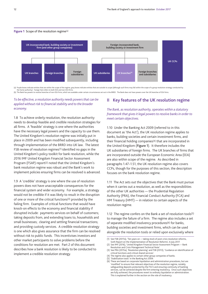#### **Figure 1** Scope of the resolution regime(a)



(a) Purple boxes indicate entities that are within the scope of the regime, grey boxes indicate entities that are outside its scope (although such firms may fall within the scope of a group resolution strategy conducted by (b) The Bank has powers to resolve branches of non-EEA firms, which are available under certain circumstances set out in the BRRD. The Bank does not have powers over the UK branches of EEA firms.

## *To be effective, a resolution authority needs powers that can be applied without risk to financial stability and to the broader economy.*

1.8 To achieve orderly resolution, the resolution authority needs to develop feasible and credible resolution strategies for all firms. A 'feasible' strategy is one where the authorities have the necessary legal powers and the capacity to use them. The United Kingdom's resolution regime was initially put in place in 2009 and has been modified subsequently, including through implementation of the BRRD into UK law. The latest FSB review of resolution regimes(1) identified no gaps in the United Kingdom's policy toolkit for bank resolution, while the 2016 IMF United Kingdom Financial Sector Assessment Program (FSAP) report<sup>(2)</sup> noted that the United Kingdom's bank resolution regime was robust and the Bank's work to implement policies ensuring firms can be resolved is advanced.

1.9 A 'credible' strategy is one where the use of resolution powers does not have unacceptable consequences for the financial system and wider economy. For example, a strategy would not be credible if it was likely to result in the disruption of one or more of the critical functions(3) provided by the failing firm. Examples of critical functions that would have knock-on effects to the economy and financial stability if disrupted include: payments services on behalf of customers; taking deposits from, and extending loans to, households and small businesses; clearing and settling financial transactions; and providing custody services. A credible resolution strategy is one which also gives assurance that the firm can be resolved without risk to public funds. This incentivises investors and other market participants to solve problems before the conditions for resolution are met. [Part 2](#page-22-0) of this document describes how a bank resolution is likely to be conducted to implement a credible resolution strategy.

## II Key features of the UK resolution regime

*The Bank, as resolution authority, operates within a statutory framework that gives it legal powers to resolve banks in order to meet certain objectives.*

1.10 Under the Banking Act 2009 (referred to in this document as 'the Act'), the UK resolution regime applies to banks, building societies and certain investment firms, and their financial holding companies(4) that are incorporated in the United Kingdom (Figure 1). It therefore includes the UK subsidiaries of foreign firms. The UK branches of firms that are incorporated outside the European Economic Area (EEA) are also within scope of the regime. As described in paragraphs 1.47–1.51, the UK resolution regime also covers CCPs, though for the purposes of this section, the description focuses on the bank resolution regime.

1.11 The Act sets out the objectives that the Bank must pursue when it carries out a resolution, as well as the responsibilities of the other UK authorities — the Prudential Regulation Authority (PRA), the Financial Conduct Authority (FCA) and HM Treasury (HMT) — in relation to certain aspects of the resolution regime.

1.12 The regime confers on the Bank a set of resolution tools(5) to manage the failure of a firm. The regime also includes a set of separate modified insolvency procedures(6) for banks, building societies and investment firms, which can be used alongside the resolution tools or relied upon exclusively where

- (4) The regime also applies to certain other group companies of banks.
- (5) 'Stabilisation tools' in the Banking Act 2009.

<sup>(1)</sup> See FSB (2017a), 'Ten years on — taking stock of post-crisis resolution reforms, Sixth Report on the Implementation of Resolution Reforms', 6 July 2017. (2) See IMF (2016), 'United Kingdom Financial Sector Assessment Program — Bank

Resolution and Crisis Management Technical Note'.

<sup>(3)</sup> See PRA (2015a), 'Resolution planning' and FSB (2013), 'Guidance on identification of critical functions and critical shared services'.

<sup>(6)</sup> These are based on corporate liquidation and administration procedures, but are 'modified' to ensure that relevant objectives of the resolution regime, notably safeguarding deposits protected by the FSCS and ensuring continuity of banking services, can be achieved despite the firm entering insolvency. Once such objectives are fully achieved, the procedures revert to ordinary liquidation or administration. This is explained further in the section on the role of insolvency.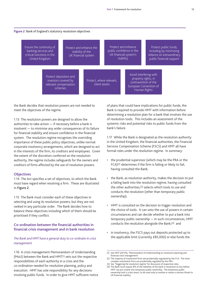## **Figure 2** Bank of England's statutory resolution objectives



the Bank decides that resolution powers are not needed to meet the objectives of the regime.

1.13 The resolution powers are designed to allow the authorities to take action — if necessary before a bank is insolvent — to minimise any wider consequences of its failure for financial stability and ensure confidence in the financial system. The resolution regime recognises the overriding importance of these public policy objectives, unlike normal corporate insolvency arrangements, which are designed to act in the interests of the firm, its creditors and employees. Given the extent of the discretion conferred on the resolution authority, the regime includes safeguards for the owners and creditors of firms affected by the use of resolution powers.

## **Objectives**

1.14 The Act specifies a set of objectives, to which the Bank must have regard when resolving a firm. These are illustrated in Figure 2.

1.15 The Bank must consider each of these objectives in selecting and using its resolution powers, but they are not ranked in any particular order. The Bank decides how to balance these objectives including which of them should be prioritised if they conflict.

## Co-ordination between the financial authorities in financial crisis management and in bank resolution

## *The Bank and HMT have a general duty to co-ordinate in crisis management.*

1.16 A crisis management Memorandum of Understanding (MoU) between the Bank and HMT(1) sets out the respective responsibilities of each authority in a crisis and the co-ordination needed for resolution planning, policy and execution. HMT has sole responsibility for any decisions involving public funds. In order to give HMT sufficient notice of plans that could have implications for public funds, the Bank is required to provide HMT with information before determining a resolution plan for a bank that involves the use of resolution tools. This includes an assessment of the systemic risks and potential risks to public funds from the bank's failure.

1.17 While the Bank is designated as the resolution authority in the United Kingdom, the financial authorities, the Financial Services Compensation Scheme (FSCS) and HMT all have formal roles under the resolution regime. In summary:

- • the prudential supervisor (which may be the PRA or the FCA)(2) determines if the firm is failing or likely to fail, having consulted the Bank;
- the Bank, as resolution authority, makes the decision to put a failing bank into the resolution regime, having consulted the other authorities,(3) selects which tools to use and conducts the resolution (other than temporary public ownership);
- HMT is consulted on the decision to trigger resolution and the choice of tools. It can veto the use of powers in certain circumstances and can decide whether to put a bank into temporary public ownership — in such circumstances, HMT conducts the resolution alongside the Bank;(4) and
- in insolvency, the FSCS pays out deposits protected up to the applicable limit (currently £85,000) or else funds the

<sup>(1)</sup> See HMT (2017b), 'Memorandum of Understanding on resolution planning and financial crisis management'.

<sup>(2)</sup> The majority of investment firms are prudentially regulated by the FCA. The more complex investment firms are prudentially regulated by the PRA.

<sup>(3)</sup> See 'Triggering the resolution regime' for discussion of respective roles.

<sup>(4)</sup> The Bank must expose 8% of the liabilities of the bank in resolution to loss before HMT can put a bank into temporary public ownership. The temporary public ownership tool is a last resort, to be used only to resolve or reduce a serious threat to UK financial stability.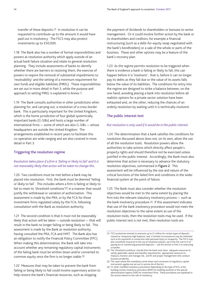transfer of these deposits.<sup>(1)</sup> In resolution it can be requested to contribute up to the amount it would have paid out in insolvency. The FSCS may also protect investments up to £50,000.

1.18 The Bank also has a number of formal responsibilities and powers as resolution authority which apply outside of an actual bank failure situation and relate to general resolution planning. They include assessments of banks to identify whether there are barriers to resolving them, the exercise of powers to require the removal of substantial impediments to 'resolvability' and the setting of a minimum requirement for own funds and eligible liabilities (MREL). These responsibilities are set out in more detail in [Part 3,](#page-28-0) while the purpose and approach to setting MREL is explained in [Annex 1.](#page-33-0)

1.19 The Bank consults authorities in other jurisdictions when planning for, and carrying out, a resolution of a cross-border bank. This is particularly important for the United Kingdom, which is the home jurisdiction of four global systemically important banks (G-SIBs) and hosts a large number of international firms — some of which are also G-SIBs — whose headquarters are outside the United Kingdom. The arrangements established in recent years to facilitate this co-operation are wide-ranging and are also covered in more detail in [Part 3.](#page-28-0)

## Triggering the resolution regime

## *Resolution takes place if a firm is 'failing or likely to fail' and it is not reasonably likely that action will be taken to change this.*

1.20 Two conditions must be met before a bank may be placed into resolution. First, the bank must be deemed 'failing or likely to fail'. This includes where a firm is failing or likely to fail to meet its 'threshold conditions'(2) in a manner that would justify the withdrawal or variation of authorisation. This assessment is made by the PRA, or by the FCA for those investment firms regulated solely by the FCA, following consultation with the Bank as resolution authority.

1.21 The second condition is that it must not be reasonably likely that action will be taken — outside resolution — that will result in the bank no longer failing or being likely to fail. This assessment is made by the Bank as resolution authority, having consulted the PRA, FCA and HMT. The Bank also has an obligation to notify the Financial Policy Committee (FPC). When making this determination, the Bank will take into account whether any remaining regulatory capital instruments of the failing bank must be written down and/or converted to common equity once the firm is no longer viable.(3)

1.22 Measures that may be taken to prevent the bank from failing or being likely to fail could involve supervisory action to help restore the bank's financial resources, such as stopping

the payment of dividends to shareholders or bonuses to senior management. Or it could involve further action by the bank or its shareholders and creditors, for example a financial restructuring (such as a debt-for-equity swap negotiated with the bank's bondholders) or a sale of the whole or parts of the business. These and other options may be a feature of the bank's recovery plan.

1.23 As the regime permits resolution to be triggered when there is evidence a bank is failing or likely to fail, this can happen before it is 'insolvent'; that is, before it can no longer pay its debts as they fall due or the value of its assets falls below the value of its liabilities. The conditions for entry into the regime are designed to strike a balance between, on the one hand, avoiding placing a bank into resolution before all realistic options for a private sector solution have been exhausted and, on the other, reducing the chances of an orderly resolution by waiting until it is technically insolvent.

## The public interest test

## *But resolution is only used if it would be in the public interest.*

1.24 The determination that a bank satisfies the conditions for resolution discussed above does not, on its own, allow the use of all the resolution tools. Resolution powers allow the authorities to take actions which directly affect people's property rights and should therefore not be exercised unless justified in the public interest. Accordingly, the Bank must also determine that action is necessary to advance the statutory resolution objectives, summarised in Figure 2. This assessment will be influenced by the size and nature of the critical functions of the failed firm and conditions in the wider financial system at the point of failure.

1.25 The Bank must also consider whether the resolution objectives would be met to the same extent by placing the firm into the relevant statutory insolvency process — such as the bank insolvency procedure.(4) If this assessment indicates that use of the bank insolvency procedure would not meet the resolution objectives to the same extent as use of the resolution tools, then the resolution tools may be used. If the public interest test is not met, then resolution tools are

<sup>(1)</sup> FSCS protection extends to amounts up to £1 million for certain types of deposits classed as 'temporary high balances' and, in limited circumstances may be unlimited such as for payments in connection with personal injury or incapacity. The FSCS may also contribute resources to the use of resolution powers, up to the net cost to it of paying out or transferring protected deposits — see the section in [Part 2](#page-22-1) on executing a transfer.

<sup>(2)</sup> The 'threshold conditions' include that the bank must have: adequate resources to satisfy applicable capital and liquidity requirements; appropriate resources to measure, monitor and manage risk; and fit and proper management who conduct business prudently.

<sup>(3)</sup> The cases where this mandatory write-down and conversion of regulatory capital instruments applies are set out in section 6A of the Act.

<sup>(4)</sup> Or other modified insolvency procedures depending on the type of firm, ie the building society insolvency procedure (BSIP) for building societies or the special administration regime (SAR) for investment firms. These procedures are explained in the section below on the role of insolvency.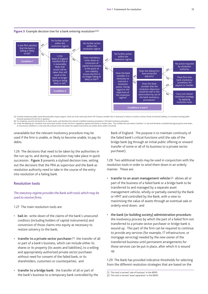

#### **Figure 3** Example decision tree for a bank entering resolution(a)(b)

(a) Excludes temporary public ownership and public equity support, which are to be used only where HM Treasury considers this is necessary to reduce or resolve a serious threat to financial stability, or to protect existin financial assistance to the firm in question.

(b) For simplicity, assumes the bank has no client assets, and therefore the relevant modified insolvency procedure is the bank insolvency procedure.<br>(c) Under the Banking Act, the Bank must write down and/or convert the f or conversion) Condition 2 is met and will continue to be met unless the capital instruments are written down and/or converted.

unavailable but the relevant insolvency procedure may be used if the firm is unable, or likely to become unable, to pay its debts.

1.26 The decisions that need to be taken by the authorities in the run-up to, and during, a resolution may take place in quick succession. Figure 3 presents a stylised decision tree, setting out the decisions that the PRA as supervisor and the Bank as resolution authority need to take in the course of the entry into resolution of a failing bank.

## Resolution tools

*The statutory regime provides the Bank with tools which may be used to resolve firms.* 

1.27 The main resolution tools are:

- bail-in: write-down of the claims of the bank's unsecured creditors (including holders of capital instruments) and conversion of those claims into equity as necessary to restore solvency to the bank;
- transfer to a private sector purchaser: $(1)$  the transfer of all or part of a bank's business, which can include either its shares or its property (its assets and liabilities), to a willing and appropriately authorised private sector purchaser without need for consent of the failed bank, or its shareholders, customers or counterparties; and
- transfer to a bridge bank: the transfer of all or part of the bank's business to a temporary bank controlled by the

Bank of England. The purpose is to maintain continuity of the failed bank's critical functions until the sale of the bridge bank (eg through an initial public offering or onward transfer of some or all of its business to a private sector purchaser).

1.28 Two additional tools may be used in conjunction with the resolution tools in order to wind them down in an orderly manner. These are:

- transfer to an asset management vehicle:(2) allows all or part of the business of a failed bank or a bridge bank to be transferred to and managed by a separate asset management vehicle, wholly or partially owned by the Bank or HMT and controlled by the Bank, with a view to maximising the value of assets through an eventual sale or orderly wind down; and
- the bank (or building society) administration procedure: the insolvency process by which the part of a failed firm not transferred to a private sector purchaser or bridge bank is wound up. This part of the firm can be required to continue to provide any services (for example, IT infrastructure, or mortgage servicing) needed by the new owner of the transferred business until permanent arrangements for those services can be put in place, after which it is wound up.

1.29 The Bank has provided indicative thresholds for selecting from the different resolution strategies that are based on the

(2) This tool is termed 'asset separation' in the BRRD.

<sup>(1)</sup> This tool is termed 'sale of business' in the BRRD.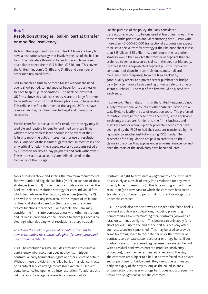## <span id="page-17-1"></span><span id="page-17-0"></span>Box 1

## Resolution strategies: bail-in, partial transfer or modified insolvency

Bail-in: The largest and most complex UK firms are likely to have a resolution strategy that involves the use of the bail-in tool. The indicative threshold for such 'bail-in' firms is set at a balance sheet size of £15 billion–£25 billion. This covers the United Kingdom's G-SIBs and D-SIBs and a number of other medium-sized firms.

Bail-in enables a firm to be recapitalised without the need, over a short period, to find another buyer for its business or to have to split up its operations. The Bank believes that UK firms above this balance sheet size are too large for there to be sufficient comfort that these options would be available. This reflects the fact that most of the largest UK firms have complex and highly interconnected legal and operational structures.

Partial transfer: A partial transfer resolution strategy may be credible and feasible for smaller and medium-sized firms which are nevertheless large enough in the event of their failure to meet the public interest test for use of resolution tools. Analysis of these firms suggests that, in most cases, the only critical function they supply relates to accounts relied on by customers for day-to-day payments and cash withdrawals. These 'transactional accounts' are defined based on the frequency of their usage.

tools discussed above and setting the minimum requirements for own funds and eligible liabilities (MREL) in support of these strategies (see Box 1). Given the thresholds are indicative, the Bank will select a resolution strategy for each individual firm which best advances the statutory objectives (see Figure 2). This will include taking into account the impact of its failure on financial stability based on the size and nature of any critical functions it provides. For example, the Bank may consider the firm's interconnectedness with other institutions and its role in providing critical services to them (eg access to clearing) when deciding what resolution strategy to apply.

## *To achieve the public objectives of resolution, the Bank has powers that affect the contractual rights of counterparties and investors in the failed firm.*

1.30 The resolution regime includes provisions to ensure a bank's entry into resolution does not, by itself, trigger contractual early termination rights or other events of default. Without these provisions, the failed bank's financial contracts or its critical service arrangements (for example, IT services) could be cancelled upon entry into resolution. To address this risk the resolution regime overrides a counterparty's

For the purpose of the policy, the Bank considers a transactional account to be one used at least nine times in the three months prior to an annual monitoring date. Firms with more than 40,000–80,000 transactional accounts can expect to be set a partial transfer strategy if their balance sheet is less than £15 billion–£25 billion. At a minimum, the resolution strategy would then involve the transfer of deposits that are preferred to senior unsecured claims in the creditor hierarchy, (ie at least all FSCS-protected deposits plus the uncovered component of deposits from individuals and small and medium-sized enterprises) from the firm, backed by good-quality assets, to a private sector purchaser or bridge bank (on a temporary basis pending onwards sale to a private sector purchaser). The rest of the firm would be placed into insolvency.

Insolvency: The smallest firms in the United Kingdom do not supply transactional accounts or other critical functions to a scale likely to justify the use of resolution tools. The preferred resolution strategy for these firms, therefore, is the applicable insolvency procedure. Under this, the firm's business and assets are sold or wound up after protected depositors have been paid by the FSCS or had their account transferred by the liquidator to another institution using FSCS funds. The proceeds of this liquidation are paid to creditors on their claims in the order that applies under a normal insolvency and once the costs of the insolvency have been deducted.

contractual right to terminate an agreement early if the right arises solely as a result of entry into resolution (or any event directly linked to resolution). This lasts as long as the firm in resolution (or a new bank to which the contracts have been transferred) continues to perform its substantive obligations under the contract.

1.31 The Bank also has the power to suspend the failed bank's payment and delivery obligations, including preventing counterparties from terminating their contracts (known as a 'stay on termination rights'). This power can only apply for a short period — up to the end of the first business day after such a suspension is published. This may be used to provide some breathing space to facilitate bail-in or the transfer of contracts to a private sector purchaser or bridge bank. If such contracts are not transferred (eg because they are left behind with a residual bank which enters a modified insolvency procedure), they may be terminated on expiry of the stay. If the contracts are subject to a bail-in or transferred to a private sector purchaser or bridge bank, they cannot be terminated early on expiry of the stay as long as the bailed-in bank, private sector purchaser or bridge bank does not subsequently default on obligations under the contracts.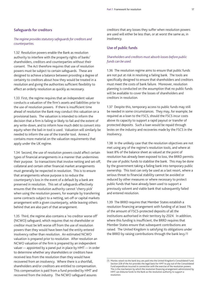## Safeguards for creditors

## *The regime provides statutory safeguards for creditors and counterparties.*

1.32 Resolution powers enable the Bank as resolution authority to interfere with the property rights of banks' shareholders, creditors and counterparties without their consent. The Act therefore requires that use of resolution powers must be subject to certain safeguards. These are designed to achieve a balance between providing a degree of certainty to creditors about how they would be treated in a resolution and giving the authorities sufficient flexibility to effect an orderly resolution as quickly as necessary.

1.33 First, the regime requires that an independent valuer conducts a valuation of the firm's assets and liabilities prior to the use of resolution powers. If there is insufficient time ahead of resolution the Bank may conduct this valuation on a provisional basis. The valuation is intended to inform the decision that a firm is failing or likely to fail and the extent of any write-down, and to inform how much debt to convert into equity when the bail-in tool is used. Valuation will similarly be needed to inform the use of the transfer tool. [Annex 2](#page-37-0)  contains more material on the valuation requirements that apply under the UK regime.

1.34 Second, the use of resolution powers could affect certain types of financial arrangements in a manner that undermines their purpose. So transactions that involve netting and set-off, collateral and certain other financial market arrangements must generally be respected in resolution. This is to ensure that arrangements whose purpose is to reduce the counterparty's loss in the event of a default by a bank are preserved in resolution. This set of safeguards effectively ensures that the resolution authority cannot 'cherry pick' when using the resolution powers, for example by transferring some contracts subject to a netting, set-off or capital markets arrangement with a given counterparty, while leaving others behind that are also part of that arrangement.

1.35 Third, the regime also contains a 'no creditor worse off' (NCWO) safeguard, which requires that no shareholder or creditor must be left worse off from the use of resolution powers than they would have been had the entity entered insolvency rather than resolution. An estimated NCWO valuation is prepared prior to resolution. After resolution an NCWO valuation of the firm is prepared by an independent valuer — appointed by a panel put in place by HMT — in order to determine whether any shareholders or creditors have received less from the resolution than they would have recovered from an insolvency. Where there is a shortfall, shareholders and/or creditors are entitled to compensation. This compensation is paid from a fund provided by HMT and recovered from the industry. The NCWO safeguard assures

creditors that any losses they suffer when resolution powers are used will either be less than, or at worst the same as, in insolvency.

## Use of public funds

## *Shareholders and creditors must absorb losses before public funds can be used.*

1.36 The resolution regime aims to ensure that public funds are not put at risk in resolving a failing bank. The tools are specifically designed to ensure that shareholders and creditors must meet the costs of bank failure. Moreover, resolution planning is conducted on the assumption that no public funds will be available to cover the losses of shareholders and creditors in resolution.

1.37 Despite this, temporary access to public funds may still be needed in some circumstances. They may, for example, be required as a loan to the FSCS, should the FSCS incur costs above its capacity to support a rapid payout or transfer of protected deposits. Such a loan would be repaid through levies on the industry and recoveries made by the FSCS in the insolvency.

1.38 In the unlikely case that the resolution objectives are not met using any of the regime's resolution tools, and where at least 8% of the balance sheet as valued at the point of resolution has already been exposed to loss, the BRRD permits the use of public funds to stabilise the bank. This may be done by the government taking a failing bank into temporary public ownership. This tool can only be used as a last resort, where a serious threat to financial stability cannot be avoided or reduced by other measures or where necessary to protect public funds that have already been used to support a previously solvent and viable bank that subsequently failed and entered resolution.

1.39 The BRRD requires that Member States establish a resolution financing arrangement with funding of at least 1% of the amount of FSCS-protected deposits of all the institutions authorised in their territory by 2024. In addition, where this funding is insufficient, the BRRD requires that Member States ensure that subsequent contributions are raised. The United Kingdom is satisfying its obligations under the BRRD by raising contributions through the bank levy.(1)

<sup>(1)</sup> Monies raised via the bank levy are paid into the United Kingdom's Consolidated Fund. Section 228 of the Act provides the legal basis for HMT to pay out of the Consolidated Fund expenditure incurred in connection with the exercise of the resolution powers. This is the mechanism by which the resolution financing arrangement administered by HMT can disburse funds to the Bank as the resolution authority to support a resolution.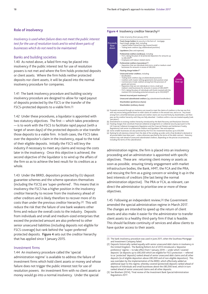## Role of insolvency

*Insolvency is used when failure does not meet the public interest test for the use of resolution tools and to wind down parts of businesses which do not need to be maintained.* 

## Banks and building societies

1.40 As noted above, a failed firm may be placed into insolvency if the public interest test for use of resolution powers is not met and where the firm holds protected deposits or client assets. Where the firm holds neither protected deposits nor client assets, it will be placed into the normal insolvency procedure for companies.

1.41 The bank insolvency procedure and building society insolvency procedure are designed to allow for rapid payout of deposits protected by the FSCS or the transfer of the FSCS–protected deposits to a viable firm.(1)

1.42 Under these procedures, a liquidator is appointed with two statutory objectives. The first — which takes precedence — is to work with the FSCS to facilitate rapid payout (with a target of seven days) of the protected deposits or else transfer those deposits to a viable firm. In both cases, the FSCS takes over the depositor's claim in the insolvency, equal to the total of their eligible deposits. Initially the FSCS will levy the industry if necessary to meet any claims and recoup the costs later in the insolvency. Once this objective is achieved, the second objective of the liquidator is to wind up the affairs of the firm so as to achieve the best result for its creditors as a whole.

1.43 Under the BRRD, depositors protected by EU deposit guarantee schemes and the scheme operators themselves (including the FSCS) are 'super-preferred'. This means that in insolvency the FSCS has a higher position in the insolvency creditor hierarchy to recover from the insolvency ahead of other creditors and is likely therefore to recover more of its costs than under the previous creditor hierarchy.(2) This will reduce the risk that the failure of one bank weakens other firms and reduce the overall costs to the industry. Deposits from individuals and small and medium-sized enterprises that exceed the protected amount are also preferred to other senior unsecured liabilities (including deposits not eligible for FSCS coverage) but rank behind the 'super-preferred' protected deposits. Figure 4 sets out the creditor hierarchy that has applied since 1 January 2015.

#### Investment firms

1.44 An insolvency procedure called the 'special administration regime' is available to address the failure of investment firms which hold client assets or money and whose failure does not trigger the public interest test for use of resolution powers. An investment firm with no client assets or money would go into a normal insolvency. Under the special

#### **Figure 4** Insolvency creditor hierarchy(a)



- '*pari passu*'). (b) Amendments to existing creditor hierarchy introduced by the Bank Recovery and Resolution Directive.
- (c) Floating charges that constitute financial collateral arrangements or collateral security (pursuant to the<br>UK Financial Collateral Arrangements Regulation and the Financial Markets and Settlement Finality<br>Regulations) (d) Some smaller businesses are also protected by the FSCS for investment business up to £50,000.
- (e) Ranking for all statutory interest from the date of the winding-up order until a final dividend is declared or all proved debts have been paid unless otherwise specified by the terms of the debt contract. Statutory interest may rank ahead of unsecured subordinated creditors, depending on the precise circumstances, including the terms of the subordination.

administration regime, the firm is placed into an insolvency proceeding and an administrator is appointed with specific objectives. These are: returning client money or assets as soon as possible; ensuring timely engagement with market infrastructure bodies, the Bank, HMT, the FCA and the PRA; and rescuing the firm as a going concern or winding it up in the best interests of creditors (the last being the normal administration objective). The PRA or FCA, as relevant, can direct the administrator to prioritise one or more of these objectives.

1.45 Following an independent review,(3) the Government amended the special administration regime in March 2017. The changes are intended to speed up the return of client assets and also make it easier for the administrator to transfer client assets to a healthy third-party firm if that is feasible. This should facilitate continuity of services and allow clients to have quicker access to their assets.

<sup>(1)</sup> The bank insolvency procedure was used in June 2011, when the Southsea Mortgage and Investment Company failed.

<sup>(2)</sup> Deposits historically ranked equally with senior unsecured debt claims in insolvency in the United Kingdom. The Banking Reform Act of 2013 introduced a 'depositor preference' regime — to take effect from 1 January 2019 — under which 'covered deposits' (ie deposits up to £85,000 which are eligible for FSCS protection — referred to as 'protected' deposits) ranked ahead of senior unsecured debt claims and all other deposits (ie of eligible depositors above £85,000 and of non-eligible depositors). This was overtaken by the implementation of the BRRD, which effectively added an additional layer to this regime, whereby covered (protected) deposits ranked ahead of deposits of individuals and small businesses above the £85,000 level, which in turn ranked ahead of senior unsecured claims and all other deposits.

<sup>(3)</sup> See Bloxham (2014), 'Final review of the Investment Bank Special Administration Regulations 2011'.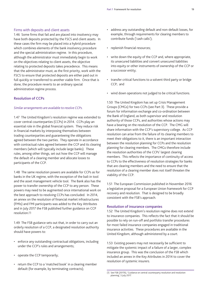## Firms with deposits and client assets

1.46 Some firms that fail and are placed into insolvency may have both deposits protected by the FSCS and client assets. In these cases the firm may be placed into a hybrid procedure which combines elements of the bank insolvency procedure and the special administration regime. In this procedure, although the administrator must immediately begin to work on the objectives relating to client assets, the objective relating to protected deposits takes precedence. This means that the administrator must, as the first priority, work with the FSCS to ensure that protected deposits are either paid out in full quickly or transferred to another viable firm. Once that is done, the procedure reverts to an ordinary special administration regime process.

## Resolution of CCPs

#### *Similar arrangements are available to resolve CCPs.*

1.47 The United Kingdom's resolution regime was extended to cover central counterparties (CCPs) in 2014. CCPs play an essential role in the global financial system. They reduce risk in financial markets by interposing themselves between trading counterparties and guaranteeing the obligations agreed between the two parties. They operate in accordance with contractual rules agreed between the CCP and its clearing members (which will typically include large banks). These rules, among other things, set out how the CCP will manage the default of a clearing member and allocate losses to participants of the CCP.

1.48 The same resolution powers are available for CCPs as for banks in the UK regime, with the exception of the bail-in tool and the asset management vehicle tool. The Bank also has the power to transfer ownership of the CCP to any person. These powers may need to be augmented once international work on the best approach to resolving CCPs has concluded. In 2014, an annex on the resolution of financial market infrastructures (FMIs) and FMI participants was added to the Key Attributes and in July 2017 the FSB published further guidance on CCP resolution.(1)

1.49 The FSB guidance sets out that, in order to carry out an orderly resolution of a CCP, a designated resolution authority should have powers to:

- enforce any outstanding contractual obligations, including under the CCP's rules and arrangements;
- operate the CCP temporarily;
- return the CCP to a 'matched book' in a clearing member default (for example, by terminating contracts);
- • address any outstanding default and non-default losses, for example, through requirements for clearing members to contribute funds ('cash calls');
- replenish financial resources;
- write down the equity of the CCP and, where appropriate, its unsecured liabilities and convert unsecured liabilities into equity or other instruments of ownership of the CCP or a successor entity;
- • transfer critical functions to a solvent third party or bridge CCP; and
- wind down operations not judged to be critical functions.

1.50 The United Kingdom has set up Crisis Management Groups (CMGs) for two CCPs (see [Part 3\)](#page-28-0). These provide a forum for information exchange and co-ordination between the Bank of England, as both supervisor and resolution authority of those CCPs, and authorities whose actions may have a bearing on the resolution of the CCP. The CMG will share information with the CCP's supervisory college. As CCP resolution can arise from the failure of its clearing members to meet their obligations to it, there is an important interaction between the resolution planning for CCPs and the resolution planning for clearing members. The CMGs therefore include the resolution authorities of the CCPs' largest clearing members. This reflects the importance of continuity of access to CCPs to the effectiveness of resolution strategies for banks that are clearing members and the need to ensure that the resolution of a clearing member does not itself threaten the viability of the CCP.

1.51 The European Commission published in November 2016 a legislative proposal for a European Union framework for CCP recovery and resolution. That is designed to be broadly consistent with the FSB's approach.

## Resolution of insurance companies

1.52 The United Kingdom's resolution regime does not extend to insurance companies. This reflects the fact that it should be possible to rely on run-off and portfolio transfer procedures for most failed insurance companies engaged in traditional insurance activities. These procedures are available in the United Kingdom, although administered by a court.

1.53 Existing powers may not necessarily be sufficient to mitigate the systemic impact of a failure of a larger, complex insurance group. This was the conclusion of the FSB which included an annex in the Key Attributes in 2014 to cover the resolution of systemic insurers.

<sup>(1)</sup> See FSB (2017b), 'Guidance on central counterparty resolution and resolution planning', 5 July 2017.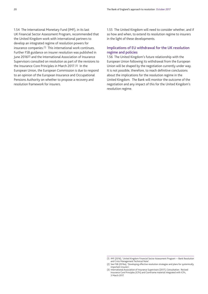1.54 The International Monetary Fund (IMF), in its last UK Financial Sector Assessment Program, recommended that the United Kingdom work with international partners to develop an integrated regime of resolution powers for insurance companies.(1) This international work continues. Further FSB guidance on insurer resolution was published in June 2016(2) and the International Association of Insurance Supervisors consulted on resolution as part of the revisions to the Insurance Core Principles in March 2017.(3) In the European Union, the European Commission is due to respond to an opinion of the European Insurance and Occupational Pensions Authority on whether to propose a recovery and resolution framework for insurers.

1.55 The United Kingdom will need to consider whether, and if so how and when, to extend its resolution regime to insurers in the light of these developments.

## Implications of EU withdrawal for the UK resolution regime and policies

1.56 The United Kingdom's future relationship with the European Union following its withdrawal from the European Union will be shaped by the negotiation currently under way. It is not possible, therefore, to reach definitive conclusions about the implications for the resolution regime in the United Kingdom. The Bank will monitor the outcome of the negotiation and any impact of this for the United Kingdom's resolution regime.

<sup>(1)</sup> IMF (2016), 'United Kingdom Financial Sector Assessment Program — Bank Resolution and Crisis Management Technical Note'.

<sup>(2)</sup> See FSB (2016a), 'Developing effective resolution strategies and plans for systemically important insurers'.

<sup>(3)</sup> International Association of Insurance Supervisors (2017), Consultation: Revised Insurance Core Principles (ICPs) and ComFrame material integrated with ICPs, 3 March 2017.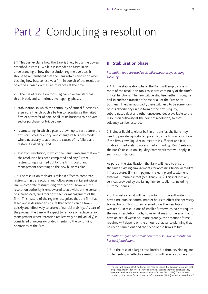# <span id="page-22-1"></span><span id="page-22-0"></span>Part 2 Conducting a resolution

2.1 This part explains how the Bank is likely to use the powers described in [Part 1.](#page-12-0) While it is intended to assist in an understanding of how the resolution regime operates, it should be remembered that the Bank retains discretion when deciding how best to resolve a firm in pursuit of the resolution objectives, based on the circumstances at the time.

2.2 The use of resolution tools (eg bail-in or transfer) has three broad, and sometimes overlapping, phases:

- • stabilisation, in which the continuity of critical functions is assured, either through a bail-in to recapitalise the failed firm or a transfer of part, or all, of its business to a private sector purchaser or bridge bank;
- • restructuring, in which a plan is drawn up to restructure the firm (or successor entity) and change its business model where necessary to address the causes of its failure and restore its viability; and
- exit from resolution, in which the Bank's implementation of the resolution has been completed and any further restructuring is carried out by the firm's board and management according to the new business plan.

2.3 The resolution tools are similar in effect to corporate restructuring transactions and follow some similar principles. Unlike corporate restructuring transactions, however, the resolution authority is empowered to act without the consent of shareholders, creditors or the senior management of the firm. This feature of the regime recognises that the firm has failed and is designed to ensure that action can be taken quickly and effectively to protect financial stability. As part of the process, the Bank will expect to remove or replace senior management where retention (collectively or individually) is considered unnecessary or detrimental to the continuing operations of the firm.

## III Stabilisation phase

*Resolution tools are used to stabilise the bank by restoring solvency.* 

2.4 In the stabilisation phase, the Bank will employ one or more of the resolution tools to secure continuity of the firm's critical functions. The firm will be stabilised either through a bail-in and/or a transfer of some or all of the firm or its business. In either approach, there will need to be some form of loss absorbency (in the form of the firm's equity, subordinated debt and other unsecured debt) available to the resolution authority at the point of resolution, so that solvency can be restored.

2.5 Under liquidity either bail-in or transfer, the Bank may need to provide liquidity temporarily to the firm in resolution if the firm's own liquid resources are insufficient and it is unable immediately to access market funding. [Box 2](#page-23-0) sets out the Bank's Resolution Liquidity Framework that will apply in such circumstances.

As part of the stabilisation, the Bank will need to ensure the firm's existing arrangements for accessing financial market infrastructures (FMIs) — payment, clearing and settlement systems — remain intact (see [Annex 3](#page-41-0)).(1) This includes any services provided by the failing firm to its clients, including customer banks.

2.6 In most cases, it will be important for the authorities to have time outside normal market hours to effect the necessary transactions. This is often referred to as the 'resolution weekend'. In resolutions of smaller firms which do not require the use of resolution tools, however, it may not be essential to have an actual weekend. More broadly, the amount of time required will depend on the amount of advance planning that has been carried out and the speed of the firm's failure.

## *Resolution requires co-ordination with resolution authorities in key host jurisdictions.*

2.7 In the case of a large cross-border UK firm, developing and implementing an effective resolution will require co-operation

<sup>(1)</sup> The Bank will draw on FSB guidelines designed to ensure that banks in resolution that are participants in such systems have continued access to them for as long as they meet their obligations to the relevant FMI or CCP. See FSB (2017c), 'Guidance on continuity of access to financial market infrastructures ('FMIs') for a firm in resolution'.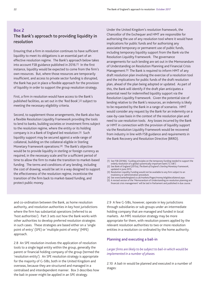## <span id="page-23-1"></span><span id="page-23-0"></span>Box 2 The Bank's approach to providing liquidity in resolution

Ensuring that a firm in resolution continues to have sufficient liquidity to meet its obligations is an essential part of an effective resolution regime. The Bank's approach below takes into account FSB guidance published in 2016.(1) In the first instance, liquidity would be expected to come from the firm's own resources. But, where those resources are temporarily insufficient, and access to private sector funding is disrupted, the Bank has put in place a flexible approach for the provision of liquidity in order to support the group resolution strategy.

First, a firm in resolution would have access to the Bank's published facilities, as set out in the 'Red Book',(2) subject to meeting the necessary eligibility criteria.

Second, to supplement those arrangements, the Bank also has a flexible Resolution Liquidity Framework providing the tools to lend to banks, building societies or investment firms subject to the resolution regime, where the entity or its holding company is in a Bank of England led resolution.(3) Such liquidity support may be secured against a wide range of collateral, building on the collateral eligible in Sterling Monetary Framework operations.(4) The Bank's objective would be to provide liquidity in sterling or foreign currency as required, in the necessary scale and for a sufficient period of time to allow the firm to make the transition to market-based funding. The terms and conditions of any lending, including the cost of drawing, would be set in a way designed to support the effectiveness of the resolution regime, incentivise the transition of the firm back to market-based funding, and protect public money.

Under the United Kingdom's resolution framework, the Chancellor of the Exchequer and HMT are responsible for authorising the use of any resolution tool where it would have implications for public funds and for authorising any associated temporary or permanent use of public funds, including temporary liquidity support from the Bank via the Resolution Liquidity Framework. The governance arrangements for such lending are set out in the Memorandum of Understanding on Resolution Planning and Financial Crisis Management.<sup>(5)</sup> The Bank is required to inform HMT of any draft resolution plan involving the exercise of a resolution tool and the implications for public funds of the draft resolution plan, ahead of the plan being adopted or updated. As part of this, the Bank will identify if the draft plan anticipates a potential need for indemnified liquidity support via the Resolution Liquidity Framework. Given the potential size of lending relative to the Bank's resources, an indemnity is likely to be requested by the Bank in a range of scenarios. HMT would consider any request by the Bank for an indemnity on a case-by-case basis in the context of the resolution plan and need to use resolution tools. Any losses incurred by the Bank or HMT in connection with the provision of liquidity support via the Resolution Liquidity Framework would be recovered from industry in line with FSB guidance and requirements in the Bank Recovery and Resolution Directive (BRRD).

- (1) See FSB (2016b), 'Guiding principles on the temporary funding needed to support the orderly resolution of a global systemically important bank ('G-SIB')'.
- (2) See Bank of England (2015a), *The Bank of England's Sterling Monetary Framework*, updated in June 2015.
- (3) Resolution Liquidity Funding would not be available to any firm subject to an insolvency or administration procedure.
- (4) See www.bankofengland.co.uk/markets/Pages/money/eligiblecollateral.aspx.
- (5) A revised version of the 'Memorandum of Understanding on resolution planning and financial crisis management' will be laid in Parliament and published in due course.

and co-ordination between the Bank, as home resolution authority, and resolution authorities in key host jurisdictions where the firm has substantial operations (referred to as 'host authorities'). [Part 3](#page-28-0) sets out how the Bank works with other authorities to develop preferred resolution strategies in such cases. These strategies are based either on a 'single point of entry' (SPE) or 'multiple point of entry' (MPE) approach.

2.8 An SPE resolution involves the application of resolution tools to a single legal entity within the group, generally the parent or financial holding company of the group (termed the 'resolution entity'). An SPE resolution strategy is appropriate for the majority of G-SIBs, both in the United Kingdom and overseas, because they are structured and managed in a centralised and interdependent manner. [Box 3](#page-25-0) describes how the bail-in power might be applied in an SPE strategy.

2.9 A few G-SIBs, however, operate in key jurisdictions through subsidiaries or sub-groups under an intermediate holding company that are managed and funded in local markets. An MPE resolution strategy may be more appropriate for them, with resolution powers applied by the relevant resolution authorities to two or more resolution entities in a resolution co-ordinated by the home authority.

## Planning and executing a bail-in

## *Larger firms are likely to be subject to bail-in which would be implemented in a number of phases.*

2.10 A bail-in would be planned and executed in a number of stages: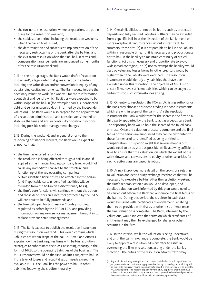- the run-up to the resolution, where preparations are put in place for the resolution weekend;
- the stabilisation period, including the resolution weekend, when the bail-in tool is used;
- • the determination and subsequent implementation of the necessary restructuring of the bank after the bail-in; and
- the exit from resolution when the final bail-in terms and compensation arrangements are announced, some months after the resolution weekend.

2.11 In the run-up stage, the Bank would draft a 'resolution instrument', a legal order that gives effect to the bail-in, including the write-down and/or conversion to equity of any outstanding capital instruments. The Bank would initiate the necessary valuation work (see [Annex 2](#page-37-0) for more information about this) and identify which liabilities were expected to be within scope of the bail-in (for example shares, subordinated debt and senior unsecured debt, informed by the independent valuation). The Bank would also prepare for the appointment of a resolution administrator, and consider steps needed to stabilise the firm and ensure continuity of critical functions, including possible senior management changes.

2.12 During the weekend, and in general prior to the re-opening of financial markets, the Bank would expect to announce that:

- the firm has entered resolution;
- the resolution is being effected through a bail-in and, if applied at the financial holding company level, would not cause any immediate changes to the structure and functioning of the key operating companies;
- • certain identified liabilities will be affected by the bail-in (and if applicable certain identified liabilities will be excluded from the bail-in on a discretionary basis);
- the firm's core functions will continue without disruption and those depositors and investors protected by the FSCS will continue to be fully protected; and
- the firm will open for business on Monday morning, regulated as before by the PRA or FCA, and providing information on any new senior management brought in to replace previous senior management.

2.13 The Bank expects to publish the resolution instrument during the resolution weekend. This would confirm which liabilities are within scope of the bail-in. [Box 3](#page-25-0) and [Annex 1](#page-33-0) explain how the Bank requires firms with bail-in resolution strategies to subordinate their loss-absorbing capacity in the form of MREL to the operating liabilities of the business. The MREL resources would be the first liabilities subject to bail-in. If the level of losses and recapitalisation needs exceed the available MREL, the Bank has the power to bail-in other liabilities following the creditor hierarchy.

2.14 Certain liabilities cannot be bailed-in, such as protected deposits and fully secured liabilities. Others may be excluded from a specific bail-in at the discretion of the Bank in one or more exceptional circumstances set out in statute.(1) In summary, these are: (a) it is not possible to bail in the liability within a reasonable time; (b) it is necessary and proportionate not to bail-in the liability to maintain continuity of critical functions; (c) this is necessary and proportionate to avoid widespread contagion; or (d) not to exempt the liability would destroy value and losses borne by other creditors would be higher than if the liability were excluded. The resolution instrument would identify any liabilities that have been excluded under this discretion. The objective of MREL is to ensure firms have sufficient liabilities which can be subject to bail-in to stop such circumstances arising.

2.15 On entry to resolution, the FCA as UK listing authority or the Bank may choose to suspend trading in those instruments which are within scope of the bail-in. Via the resolution instrument the Bank would transfer the shares in the firm to a third party appointed by the Bank to act as a depositary bank. The depositary bank would hold the shares of the failed bank on trust. Once the valuation process is complete and the final terms of the bail-in are announced they can be distributed to those former creditors identified as being entitled to compensation. This period might last several months but would need to be as short as possible, while allowing sufficient time to ensure that the valuation, on which the extent of the write-downs and conversions to equity or other securities for each creditor class are based, is robust.

2.16 [Annex 2](#page-37-0) provides more detail on the provisions relating to valuation and debt-equity exchange mechanics that will be necessary to execute a bail-in. After the resolution weekend, the firm's reorganisation plan would be developed, and detailed valuation work informed by this plan would need to be carried out before the Bank can announce the final terms of the bail-in. During this period, the creditors in each class would be issued with 'certificates of entitlement', enabling them to be provided with shares or other instruments once the final valuation is complete. The Bank, informed by the valuations, would indicate the terms on which certificates of entitlement may then be exchanged for shares or other securities in the firm.

2.17 In the interval while the valuation is being undertaken and until the bail-in exchange is complete, the Bank would be likely to appoint a resolution administrator to assist in overseeing the firm in resolution, acting under the Bank's direction. The duties of the resolution administrator may

<sup>(1)</sup> Any such discretionary exemptions could mean that the bail-in will depart from the *pari passu* treatment that would apply in an insolvency proceeding. As such they will be subject to the risk of having to compensate bailed-in creditors in order to meet the NCWO safeguard. This helps to explain why the BRRD stipulates that they should only occur in exceptional circumstances and that in general bail-in should proceed on the same *pari passu* basis as would apply in an insolvency proceeding.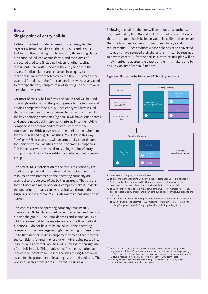## <span id="page-25-1"></span><span id="page-25-0"></span>Box 3 Single point of entry bail-in

Bail-in is the Bank's preferred resolution strategy for the largest UK firms, including all the UK G-SIBs and D-SIBs. Bail-in stabilises a failing firm by ensuring the existing shares are cancelled, diluted or transferred, and the claims of unsecured creditors (including holders of other capital instruments) are written down sufficiently to absorb the losses. Creditor claims are converted into equity to recapitalise and restore solvency to the firm. This means the essential functions of the firm can continue, without any need to attempt the very complex task of splitting up the firm over a resolution weekend.

For most of the UK bail-in firms, the bail-in tool will be used on a single entity within the group, generally the top financial holding company of the group. That entity will have issued shares and debt instruments externally to the market, while the key operating companies (eg banks) will have issued shares and subordinated debt instruments internally to the holding company in an amount and form consistent with the corresponding BRRD provisions on the minimum requirement for own funds and eligible liabilities (MREL).(1) In this way, TLAC or MREL instruments will be structurally subordinated to the senior external liabilities of those operating companies. This is the case whether the firm is a single point of entry group or the UK resolution entity in a multiple point of entry group.(2)

This structural subordination of the resources issued by the holding company and the contractual subordination of the resources downstreamed to the operating company are essential to the success of the bail-in strategy. They ensure that if losses at a major operating company make it unviable, the operating company can be recapitalised through the triggering of the internal MREL instruments it has issued to its parent.

This ensures that the operating company remains fully operational. Its liabilities owed to counterparties and creditors outside the group — including deposits and senior liabilities which are essential to the maintenance of the firm's critical functions — do not have to be bailed in. If the operating company's losses are large enough, the passing of these losses up to the financial holding company may mean that it meets the conditions for entering resolution. After being placed into resolution, its external liabilities will suffer losses through use of the bail-in tool. This greatly simplifies the resolution and reduces the incentive for host authorities to ring-fence local assets for the protection of local depositors and creditors. The key steps in this process are illustrated in Figure A.

Following the bail-in, the firm will continue to be authorised and regulated by the PRA and FCA. The Bank's expectation is that the amount that is bailed in would be calibrated to ensure that the firm meets at least minimum regulatory capital requirements. Once creditors whose debt has been converted into equity have received their shares the firm can be returned to private control. After the bail-in, a restructuring plan will be implemented to address the causes of the firm's failure and to ensure viability of critical functions.



## **Figure A** Illustrative bail-in at an SPE holding company

- 1. An Operating Company experiences losses.
- 2. This results in the Operating Company's capital being used up it is now failing.
- 3. As the Holding Company owns the Operating Company, it makes a loss as its investment is now worth less. The group is now failing or likely to fail.
- 4. The Bank of England triggers a write-down of the Operating Company's internal debt to recapitalise it. This means it can continue to deliver critical functions to the economy.
- 5. At the same time, the Bank of England puts the Holding Company into resolution. The Bank 'bails-in' the external MREL, imposing losses on investors, replacing the Holding Company's capital. The group is no longer failing or likely to fail.

<sup>(1)</sup> In the case of G-SIBs this MREL must comply with the eligibility and quantum requirements of the FSB's international standard on 'total loss-absorbing capacity' (TLAC). See FSB (2015a), 'Principles on loss-absorbing and recapitalisation capacity of G-SIBs in resolution: total loss-absorbing capacity (TLAC) Term Sheet'.

<sup>(2)</sup> Building societies cannot establish holding companies. As such, they must subordinate their MREL through other means.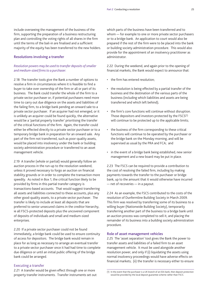include overseeing the management of the business of the firm, supporting the preparation of a business restructuring plan and controlling the voting rights of all shares in the firm until the terms of the bail-in are finalised and a sufficient majority of the equity has been transferred to the new holders.

## Resolutions involving a transfer

## *Resolution powers may be used to transfer deposits of smaller and medium-sized firms to a purchaser.*

2.18 The transfer tools give the Bank a number of options to resolve a firm in circumstances where it is feasible to find a buyer to take over ownership of the firm or all or part of its business. The Bank could transfer the whole of the firm to a private sector purchaser or, if potential purchasers need more time to carry out due diligence on the assets and liabilities of the failing firm, to a bridge bank pending an onward sale to a private sector purchaser. If an acquirer had not emerged, or it is unlikely an acquirer could be found quickly, the alternative would be a 'partial property transfer' prioritising the transfer of the critical functions of the firm. Again, the transfer could either be effected directly to a private sector purchaser or to a temporary bridge bank in preparation for an onward sale. Any part of the firm not transferred, such as poor-quality assets, would be placed into insolvency under the bank or building society administration procedure or transferred to an asset management vehicle.

2.19 A transfer (whole or partial) would generally follow an auction process in the run-up to the resolution weekend, unless it proved necessary to forgo an auction on financial stability grounds or in order to complete the transaction more speedily. As noted in [Box 1](#page-17-0), the critical function likely to be provided by firms in this partial transfer category is transactions-based accounts. That would suggest transferring all assets and liabilities connected to these accounts, plus any other good-quality assets, to a private sector purchaser. The transfer is likely to include at least all deposits that are preferred to senior unsecured claims in the creditor hierarchy, ie all FSCS-protected deposits plus the uncovered component of deposits of individuals and small and medium-sized enterprises.

2.20 If a private sector purchaser could not be found immediately, a bridge bank could be used to ensure continuity of access for depositors. The bridge bank would remain in place for as long as necessary to arrange an eventual transfer to a private sector purchaser once it had had time to complete due diligence or until an initial public offering of the bridge bank could be arranged.

## Executing a transfer

2.21 A transfer would be given effect through one or more property transfer instruments. Transfer instruments set out which parts of the business have been transferred and to whom — for example to one or more private sector purchasers or to a bridge bank. An application to court would also be prepared if the rest of the firm were to be placed into the bank or building society administration procedure. This would also provide for the appointment of an insolvency practitioner as administrator.

2.22 During the weekend, and again prior to the opening of financial markets, the Bank would expect to announce that:

- the firm has entered resolution;
- the resolution is being effected by a partial transfer of the business and the destination of the various parts of the business (including which liabilities and assets are being transferred and which left behind);
- the firm's core functions will continue without disruption. Those depositors and investors protected by the FSCS<sup>(1)</sup> will continue to be protected up to the applicable limits;
- the business of the firm corresponding to these critical functions will continue to be operated by the purchaser or the bridge bank on the Monday morning, and will be supervised as usual by the PRA and FCA; and
- in the event of a bridge bank being established, new senior management and a new board may be put in place.

2.23 The FSCS can be required to provide a contribution to the cost of resolving the failed firm, including by making payments towards the transfer to the purchaser or bridge bank, up to the amount that it would otherwise have incurred — net of recoveries — in a payout.

2.24 As an example, the FSCS contributed to the costs of the resolution of Dunfermline Building Society in March 2009. This firm was resolved by transferring some of its business to a willing buyer (Nationwide Building Society), temporarily transferring another part of the business to a bridge bank until an auction process was completed to sell it, and placing the remainder of its business into a building society administration procedure.

#### Role of asset management vehicles

2.25 The 'asset separation' tool gives the Bank the power to transfer assets and liabilities of a failed firm to an asset management vehicle. It must be used alongside another resolution power, and only if (i) liquidating the assets using normal insolvency proceedings would have adverse effects on financial markets; (ii) the transfer is necessary either to ensure

<sup>(1)</sup> In the event that the purchaser is a UK branch of an EEA bank, then deposit protection would be provided by the local deposit guarantee scheme rather than FSCS.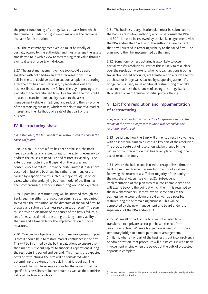the proper functioning of a bridge bank or bank from which the transfer is made; or (iii) it would maximise the recoveries available for distribution.

2.26 The asset management vehicle must be wholly or partially owned by the authorities and must manage the assets transferred to it with a view to maximising their value through eventual sale or orderly wind-down.

2.27 The asset management vehicle tool could be used together with both bail-in and transfer resolutions. In a bail-in, the tool could be used to support a rapid restructuring after the firm has been stabilised, by separating out any business lines that caused the failure, thereby improving the viability of the recapitalised firm. In a transfer, the tool could be used to transfer poor-quality assets to the asset management vehicle, simplifying and reducing the risk profile of the remaining business, which may help to improve market interest and the likelihood of a sale of that part of the business.

## IV Restructuring phase

## *Once stabilised, the firm needs to be restructured to address the causes of failure.*

2.28 In a bail-in, once a firm has been stabilised, the Bank needs to undertake a restructuring to the extent necessary to address the causes of its failure and restore its viability. The extent of restructuring will depend on the causes and consequences of failure. It may be quite limited if losses have occurred in just one business line rather than many or are caused by a specific event (such as a major fraud). In other cases, where the underlying business model of the firm has been compromised, a wider restructuring would be expected.

2.29 A post bail-in restructuring will be initiated through the Bank requiring either the resolution administrator appointed to oversee the resolution, or the directors of the failed firm, to prepare and submit a 'business reorganisation plan'. The plan must provide a diagnosis of the causes of the firm's failure, a set of measures aimed at restoring the long-term viability of the firm and a timetable for the implementation of those measures.

2.30 One crucial objective of the business reorganisation plan is that it should help to restore market confidence in the firm. This will be informed by the bail-in valuations to ensure that the firm has sufficient capital to support its operations during the restructuring period and beyond. This means the expected costs of restructuring the firm will be considered when determining the extent of the bail-in that is required. The proposed plan will have implications for the valuation of the specific business lines to be continued, as well as the franchise value of the firm as a whole.

2.31 The business reorganisation plan must be submitted to the Bank as resolution authority who must consult the PRA and FCA. It has to be reviewed by the Bank, in agreement with the PRA and/or the FCA<sup>(1)</sup>, until the authorities are content that it will succeed in restoring viability to the failed firm. The plan would then be implemented by the firm.

2.32 Some form of restructuring is also likely to occur in partial transfer resolutions. Part of this is likely to take place over the resolution weekend, when critical functions (such as transaction-based accounts) are transferred to a private sector purchaser or bridge bank, backed by supporting assets. If a bridge bank is used, some additional restructuring may take place to maximise the chances of selling the bridge bank through an onward transfer or initial public offering.

## V Exit from resolution and implementation of restructuring

*The purpose of resolution is to restore long-term viability; the timing of the firm's exit from resolution will depend on the resolution tools used.* 

2.33 Identifying how the Bank will bring its direct involvement with an individual firm to a close is a key part of the resolution. The precise route out of resolution will be shaped by the nature of the intervention that has taken place through the use of resolution tools.

2.34 Where the bail-in tool is used to recapitalise a firm, the Bank's direct involvement as resolution authority will end following the return of a sufficient majority of the equity to the new shareholders (see [Annex 2\)](#page-37-0). Subsequent implementation of the plan may take considerable time and will extend beyond the point at which the firm is returned to the new shareholders. It may involve some parts of the business being wound down or sold as well as a possible restructuring of the remaining business. This will be completed by the new management and board under the supervision of the PRA and/or FCA.

2.35 Where all or part of the business of a failed firm is transferred to a private sector purchaser, the exit from resolution is clear. Where a bridge bank is used, it must be a temporary bridge to a more permanent arrangement. Similarly, when all or part of the business is put into insolvency or administration, that procedure will run its course with Bank involvement ending when the payout of the bulk of protected deposits is complete.

<sup>(1)</sup> Where the firm is part of an EEA group, the Bank must review the plan jointly with the other resolution authorities.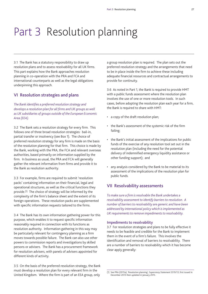# <span id="page-28-0"></span>Part 3 Resolution planning

3.1 The Bank has a statutory responsibility to draw up resolution plans and to assess resolvability for all UK firms. This part explains how the Bank approaches resolution planning in co-operation with the PRA and FCA and international counterparts as well as the legal obligations underpinning this approach.

## VI Resolution strategies and plans

*The Bank identifies a preferred resolution strategy and develops a resolution plan for all firms and UK groups as well as UK subsidiaries of groups outside of the European Economic Area (EEA).*

3.2 The Bank sets a resolution strategy for every firm. This follows one of three broad resolution strategies: bail-in, partial transfer or insolvency (see [Box 1\)](#page-17-1). The choice of preferred resolution strategy for any firm is made on the basis of the resolution planning for that firm. This choice is made by the Bank, working with the PRA, the FCA and relevant overseas authorities, based primarily on information supplied by the firm. In business as usual, the PRA and FCA will generally gather the relevant information from firms and provide it to the Bank as resolution authority.

3.3 For example, firms are required to submit 'resolution packs' containing information on their financial, legal and operational structures, as well as the critical functions they provide.(1) The choice of strategy will be informed by the complexity of the firm's balance sheet and the extent of its foreign operations. These resolution packs are supplemented with specific information requests tailored to the firms.

3.4 The Bank has its own information gathering power for this purpose, which enables it to request specific information reasonably required in connection with its functions as resolution authority. Information gathering in this way may be particularly relevant for contingency planning as a firm moves towards possible failure. The Bank can also use other powers to commission reports and investigations by skilled persons or advisers. The Bank has a procurement framework for resolution advisers, with panels of advisers appointed for different kinds of activity.

3.5 On the basis of the preferred resolution strategy, the Bank must develop a resolution plan for every relevant firm in the United Kingdom. Where the firm is part of an EEA group, only

a group resolution plan is required. The plan sets out the preferred resolution strategy and the arrangements that need to be in place inside the firm to achieve these including adequate financial resources and contractual arrangements to provide for continuity.

3.6 As noted in [Part 1](#page-12-0), the Bank is required to provide HMT with a public funds assessment where the resolution plan involves the use of one or more resolution tools. In such cases, before adopting the resolution plan each year for a firm, the Bank is required to share with HMT:

- • a copy of the draft resolution plan;
- • the Bank's assessment of the systemic risk of the firm failing;
- the Bank's initial assessment of the implications for public funds of the exercise of any resolution tool set out in the resolution plan (including the need for the potential delivery of indemnified emergency liquidity assistance or other funding support); and
- • any analysis considered by the Bank to be material to its assessment of the implications of the resolution plan for public funds.

## VII Resolvability assessments

*To make sure a firm is resolvable the Bank undertakes a resolvability assessment to identify barriers to resolution. A number of barriers to resolvability are generic and have been addressed by international policy which is implemented as UK requirements to remove impediments to resolvability.*

## Impediments to resolvability

3.7 For resolution strategies and plans to be fully effective it needs to be feasible and credible for the Bank to implement them in the event of a firm's failure. This involves the identification and removal of barriers to resolvability. There are a number of barriers to resolvability which it has become clear apply generally:

<sup>(1)</sup> See PRA (2015a), 'Resolution planning', *Supervisory Statement SS19/13*, first issued in December 2013 then updated in January 2015.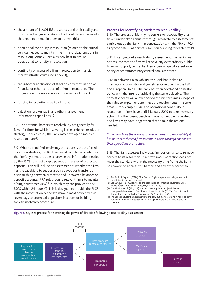- the amount of TLAC/MREL resources and their quality and location within groups. [Annex 1](#page-33-0) sets out the requirements that need to be met in order to achieve this;
- operational continuity in resolution (related to the critical services needed to maintain the firm's critical functions in resolution). [Annex 3](#page-41-0) explains how best to ensure operational continuity in resolution;
- continuity of access of a firm in resolution to financial market infrastructure (see [Annex 3](#page-41-0));
- cross-border application of stays on early termination of financial or other contracts of a firm in resolution. The progress on this work is also summarised in [Annex 3](#page-41-0);
- funding in resolution (see [Box 2\)](#page-23-1); and
- • valuation (see [Annex 2](#page-37-0)) and other management information capabilities.(1)

3.8 The potential barriers to resolvability are generally far fewer for firms for which insolvency is the preferred resolution strategy. In such cases, the Bank may develop a simplified resolution plan.(2)

3.9 Where a modified insolvency procedure is the preferred resolution strategy, the Bank will need to determine whether the firm's systems are able to provide the information needed by the FSCS to effect a rapid payout or transfer of protected deposits. This will include an assessment of whether the firm has the capability to support such a payout or transfer by distinguishing between protected and uncovered balances on deposit accounts. PRA rules require relevant firms to maintain a 'single customer view' file, which they can provide to the FSCS within 24 hours.(3) This is designed to provide the FSCS with the information needed to make a rapid payout within seven days to protected depositors in a bank or building society insolvency procedure.

## Process for identifying barriers to resolvability

3.10 The process of identifying barriers to resolvability of a firm is undertaken annually through 'resolvability assessments' carried out by the Bank — in consultation with the PRA or FCA as appropriate  $-$  as part of resolution planning for each firm.<sup>(4)</sup>

3.11 In carrying out a resolvability assessment, the Bank must not assume that the firm will receive any extraordinary public financial support, central bank emergency liquidity assistance or any other extraordinary central bank assistance.

3.12 In delivering resolvability, the Bank has looked to international principles and guidelines developed by the FSB and European Union. The Bank has then developed domestic policy with the intent of achieving the same objective. The domestic policy will allow a period of time for firms in scope of the rules to implement and meet the requirements. In some areas — for example TLAC and operational continuity in resolution — firms have until 1 January 2019 to take necessary action. In other cases, deadlines have not yet been specified and firms may have longer than that to take the actions needed.

## *If the Bank finds there are substantive barriers to resolvability it has powers to direct a firm to remove these through changes to their operations or structure.*

3.13 The Bank assesses individual firm performance to remove barriers to its resolution. If a firm's implementation does not meet the standard within the necessary time frame the Bank has powers to address this barrier, and any other barrier to

- (1) See Bank of England (2017a), 'The Bank of England's proposed policy on valuation capabilities to support resolvability'.
- (2) See EBA (2015a), 'Guidelines on the application of simplified obligations under Article 4(5) of Directive 2014/59/EU', *EBA/GL/2015/16*.
- (3) The PRA Rulebook (12.1, 12.2) outlines these requirements (available at www.prarulebook.co.uk). See Chapters 8 and 10 of PRA (2017a), 'Depositor and
- dormant account protection', *Supervisory Statement SS18/15*. (4) The Bank conducts these assessments annually but may determine it needs to carry out a new resolvability assessment after major changes in the firm's business or structure.

**Figure 5** Stylised process for exercising the power of direction following a resolvability assessment



\* The asterisks indicate where a right of appeal is available.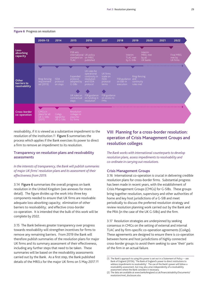

#### **Figure 6** Progress on resolution

resolvability, if it is viewed as a substantive impediment to the resolution of the institution.<sup>(1)</sup> Figure 5 summarises the process which applies if the Bank exercises its power to direct a firm to remove an impediment to its resolution.

## Transparency on resolution plans and resolvability assessments

*In the interests of transparency, the Bank will publish summaries of major UK firms' resolution plans and its assessment of their effectiveness from 2019.* 

3.14 Figure 6 summarises the overall progress on bank resolution in the United Kingdom (see annexes for more detail). The figure divides up the work into three key components needed to ensure that UK firms are resolvable: adequate loss-absorbing capacity; elimination of other barriers to resolvability; and effective cross-border co-operation. It is intended that the bulk of this work will be complete by 2022.

3.15 The Bank believes greater transparency over progress towards resolvability will strengthen incentives for firms to remove any remaining barriers. From 2019 the Bank will therefore publish summaries of the resolution plans for major UK firms and its summary assessment of their effectiveness, including any further steps that need to be taken. These summaries will be based on the resolvability assessments carried out by the Bank. As a first step, the Bank published details of the MRELs for the major UK firms on 5 May 2017.(2)

## VIII Planning for a cross-border resolution: operation of Crisis Management Groups and resolution colleges

*The Bank works with international counterparts to develop resolution plans, assess impediments to resolvability and co-ordinate in carrying out resolutions.* 

## Crisis Management Groups

3.16 International co-operation is crucial in delivering credible resolution plans for cross-border firms. Substantial progress has been made in recent years, with the establishment of Crisis Management Groups (CMGs) for G-SIBs. These groups bring together resolution, supervisory and other authorities of home and key host jurisdictions of a G-SIB and meet periodically to discuss the preferred resolution strategy and review resolution planning work carried out by the Bank and the PRA (in the case of the UK G-SIBs) and the firm.

3.17 Resolution strategies are underpinned by seeking consensus in CMGs on the setting of external and internal TLAC and by firm-specific co-operation agreements (CoAgs). These agreements are designed to ensure there is co-operation between home and host jurisdictions of highly connected cross-border groups to avoid them seeking to save 'their' parts of the firm in an actual failure.

<sup>(1)</sup> The Bank's approach to using this power is set out in a Statement of Policy — see Bank of England (2015b), 'The Bank of England's power to direct institutions to address impediments to resolvability'. The use of the Bank's power will follow a resolvability assessment, but may also arise independently of a resolvability assessment where the Bank considers it necessary.

<sup>(2)</sup> The data are available at [www.bankofengland.co.uk/financialstability/Documents/](www.bankofengland.co.uk/financialstability/Documents/resolution/mrel_disclosure.xlsx) [resolution/mrel\\_disclosure.xlsx.](www.bankofengland.co.uk/financialstability/Documents/resolution/mrel_disclosure.xlsx)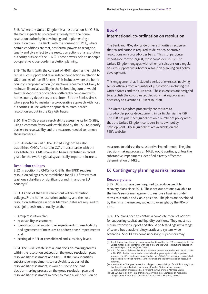3.18 Where the United Kingdom is a host of a non-UK G-SIB, the Bank expects to co-ordinate closely with the home resolution authority in developing and implementing a resolution plan. The Bank (with the consent of HMT), where certain conditions are met, has formal powers to recognise legally and give effect to the resolution actions of a resolution authority outside of the EEA.(1) These powers help to underpin co-operative cross-border resolution planning.

3.19 The Bank (with the consent of HMT) also has the right to refuse such support and take independent action in relation to UK branches of non-EEA firms. This includes where the home country's proposed action (or inaction) is deemed not likely to maintain financial stability in the United Kingdom or would treat UK depositors or creditors differently compared with home country depositors or creditors. But the Bank's aim is where possible to maintain a co-operative approach with host authorities, in line with the approach to cross-border resolution set out in the Key Attributes.

3.20 The CMGs prepare resolvability assessments for G-SIBs, using a common framework established by the FSB, to identify barriers to resolvability and the measures needed to remove those barriers.(2)

3.21 As noted in [Part 1,](#page-12-0) the United Kingdom has also established CMGs for certain CCPs in accordance with the Key Attributes. CMGs have also been established in recent years for the two UK global systemically important insurers.

## Resolution colleges

3.22 In addition to CMGs for G-SIBs, the BRRD requires resolution colleges to be established for all EU firms with at least one subsidiary or significant branch in another EU country.(3)

3.23 As part of the tasks carried out within resolution colleges,(4) the home resolution authority and the host resolution authorities in other Member States are required to reach joint decisions annually on the:

- • group resolution plan;
- resolvability assessment;
- identification of substantive impediments to resolvability and agreement of measures to address those impediments; and
- setting of MREL at consolidated and subsidiary levels.

3.24 The BRRD establishes a joint decision-making process within the resolution colleges on the group resolution plan, resolvability assessment and MREL. If the Bank identifies substantive impediments to resolvability as part of the resolvability assessment, it would suspend the joint decision-making process on the group resolution plan and resolvability assessment in order to reach a joint decision on

## Box 4 International co-ordination on resolution

The Bank and PRA, alongside other authorities, recognise that co-ordination is required to deliver co-operative resolutions on a cross-border basis. This is of particular importance for the largest, most complex G-SIBs. The United Kingdom engages with other jurisdictions on a regular basis to support cross-border resolution planning and policy development.

This engagement has included a series of exercises involving senior officials from a number of jurisdictions, including the United States and the euro area. These exercises are designed to establish the co-ordinated decision-making processes necessary to execute a G-SIB resolution.

The United Kingdom proactively contributes to cross-border policy development, in particular via the FSB. The FSB has published guidelines on a number of policy areas that the United Kingdom considers in its own policy development. These guidelines are available on the FSB's website.

measures to address the substantive impediments. The joint decision-making process on MREL would continue, unless the substantive impediments identified directly affect the determination of MREL.

## IX Contingency planning as risks increase

## Recovery plans

3.25 UK firms have been required to produce credible recovery plans since 2011. These set out options available to the firm's senior management to restore a business under stress to a stable and viable position. The plans are developed by the firms themselves, subject to oversight by the PRA or FCA.

3.26 The plans need to contain a complete menu of options for supporting capital and liquidity positions. They must not require taxpayer support and should be tested against a range of severe but plausible idiosyncratic and system-wide scenarios. Should it become necessary, supervisors may

<sup>(1)</sup> Resolution actions taken by resolution authorities within the EEA are recognised in the United Kingdom in accordance with the BRRD and the Credit Institutions Regulation and Winding Up Directive (2001/24/EC).

<sup>(2)</sup> A first full round of the resolvability assessment process was undertaken for all G-SIBs in 2014/15. Reviews are now also undertaken for global systemically important insurers. The 2017 results were published in FSB (2017a), 'Ten years on — taking stock of post-crisis resolution reforms, Sixth Report on the Implementation of Resolution Reforms'.

<sup>(3)</sup> It also requires 'European resolution colleges' to be established for third-country firms that have EU subsidiaries in two or more Member States, or two or more EU branches that are regarded as significant by two or more Member States.

<sup>(4)</sup> See EBA (2015b), 'EBA Final draft Regulatory Technical Standards on resolution colleges under Article 88(7) of Directive 2014/59/EU', *EBA/RTS/2015/03*.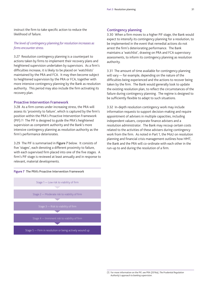instruct the firm to take specific action to reduce the likelihood of failure.

## *The level of contingency planning for resolution increases as firms encounter stress.*

3.27 Resolution contingency planning is a counterpart to actions taken by firms to implement their recovery plans and heightened supervision undertaken by supervisors. As a firm's difficulties increase, it is likely to be placed on 'watchlists' maintained by the PRA and FCA. It may then become subject to heightened supervision by the PRA or FCA, together with more intensive contingency planning by the Bank as resolution authority. This period may also include the firm activating its recovery plan.

## Proactive Intervention Framework

3.28 As a firm comes under increasing stress, the PRA will assess its 'proximity to failure', which is captured by the firm's position within the PRA's Proactive Intervention Framework (PIF).(1) The PIF is designed to guide the PRA's heightened supervision as competent authority and the Bank's more intensive contingency planning as resolution authority as the firm's performance deteriorates.

3.29 The PIF is summarised in Figure 7 below. It consists of five 'stages', each denoting a different proximity to failure, with each supervised firm placed into one of the five stages. A firm's PIF stage is reviewed at least annually and in response to relevant, material developments.



## Contingency planning

3.30 When a firm moves to a higher PIF stage, the Bank would expect to intensify its contingency planning for a resolution, to be implemented in the event that remedial actions do not arrest the firm's deteriorating performance. The Bank maintains a 'watchlist', drawing on PRA and FCA supervisory assessments, to inform its contingency planning as resolution authority.

3.31 The amount of time available for contingency planning will vary — for example, depending on the nature of the difficulties being experienced and the actions to recover being taken by the firm. The Bank would generally look to update the existing resolution plan, to reflect the circumstances of the failure during contingency planning. The regime is designed to be sufficiently flexible to adapt to such situations.

3.32 In-depth resolution contingency work may include information requests to support decision-making and require appointment of advisers in multiple capacities, including independent valuers, corporate finance advisers and a resolution administrator. The Bank may recoup certain costs related to the activities of these advisers during contingency work from the firm. As noted in [Part 1,](#page-12-0) the MoU on resolution planning and financial crisis management outlines how HMT, the Bank and the PRA will co-ordinate with each other in the run-up to and during the resolution of a firm.

<sup>(1)</sup> For more information on the PIF, see PRA (2016a), *The Prudential Regulation Authority's approach to banking supervision*.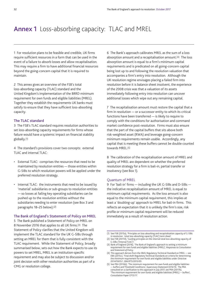## <span id="page-33-0"></span>Annex 1 Loss-absorbing capacity: TLAC and MREL

1 For resolution plans to be feasible and credible, UK firms require sufficient resources in a form that can be used in the event of a failure to absorb losses and allow recapitalisation. This may require a firm to have additional financial resources beyond the going-concern capital that it is required to maintain.

2 This annex gives an overview of the FSB's total loss-absorbing capacity (TLAC) standard and the United Kingdom's implementation of the BRRD minimum requirement for own funds and eligible liabilities (MREL). Together they establish the requirements UK banks must satisfy to ensure that they have sufficient loss-absorbing capacity.

## The TLAC standard

3 The FSB's TLAC standard requires resolution authorities to set loss-absorbing capacity requirements for firms whose failure would have a systemic impact on financial stability globally.(1)

4 The standard's provisions cover two concepts: external TLAC and internal TLAC:

- • External TLAC: comprises the resources that need to be maintained by resolution entities — those entities within G-SIBs to which resolution powers will be applied under the preferred resolution strategy.
- Internal TLAC: the instruments that need to be issued by 'material' subsidiaries or sub-groups to resolution entities — so losses at failing key operating subsidiaries can be pushed up to the resolution entities without the subsidiaries needing to enter resolution (see [Box 3](#page-25-1) and paragraphs 18–25 below).(2)

## The Bank of England's Statement of Policy on MREL

5 The Bank published a Statement of Policy on MREL on 8 November 2016 that applies to all UK firms.(3) The Statement of Policy clarifies that the United Kingdom will implement the TLAC standard for the UK G-SIBs through setting an MREL for them that is fully consistent with the TLAC requirement. While the Statement of Policy, broadly summarised below, sets out how the Bank expects to use its powers to set MREL, MREL is an institution-specific requirement and may also be subject to discussion and/or joint decision with other resolution authorities as part of a CMG or resolution college.

6 The Bank's approach calibrates MREL as the sum of a loss absorption amount and a recapitalisation amount.(4) The loss absorption amount is equal to a firm's minimum capital requirements and is predicated on all going-concern capital being lost up to and following the resolution valuation that accompanies a firm's entry into resolution. Although the UK resolution regime envisages placing a failed firm into resolution before it is balance sheet insolvent, the experience of the 2008 crisis was that a valuation of its assets immediately following entry into resolution can uncover additional losses which wipe out any remaining capital.

7 The recapitalisation amount must restore the capital that a firm in resolution — or a successor entity to which its critical functions have been transferred — is likely to require to comply with the conditions for authorisation and command market confidence post-resolution. Firms must also ensure that the part of the capital buffers that sits above both risk-weighted asset (RWA) and leverage going-concern minimum requirements remain usable. Accordingly, any capital that is meeting these buffers cannot be double counted towards MREL.(5)

8 The calibration of the recapitalisation amount of MREL and quality of MREL are dependent on whether the preferred resolution strategy for a firm is bail-in, partial transfer or insolvency (see [Box 1\).](#page-17-1)

#### Quantum of MREL

9 For 'bail-in' firms — including the UK G-SIBs and D-SIBs the indicative recapitalisation amount of MREL is equal to minimum capital requirements. As the loss amount is also equal to the minimum capital requirement, this implies at least a 'doubling-up' approach to MREL for bail-in firms. This reflects an expectation that it is unlikely the firm's size, risk profile or minimum capital requirement will be reduced immediately as a result of resolution action.

<sup>(1)</sup> See FSB (2015a), 'Principles on loss-absorbing and recapitalisation capacity of G-SIBs in resolution: total loss-absorbing capacity (TLAC) term sheet'

<sup>(2)</sup> See FSB (2017d), 'Guiding principles on the internal total loss-absorbing capacity of G-SIBs ('Internal TLAC')'.

<sup>(3)</sup> Bank of England (2016), 'The Bank of England's approach to setting a minimum requirement for own funds and eligible liabilities (MREL)', *Responses to Consultation and Statement of Policy*.

<sup>(4)</sup> This approach derives from the EBA's Regulatory Technical Standard on MREL — see EBA (2015c), 'Final draft Regulatory Technical Standards on criteria for determining the minimum requirement for own funds and eligible liabilities under Directive 2014/59/EU', *EBA/RTS/2015/05*.

<sup>(5)</sup> See PRA (2016b), 'The minimum requirement for own funds and eligible liabilities — buffers and Threshold Conditions', *Supervisory Statement SS16/16*. The PRA consulted on a clarification to this approach in July 2017, see PRA (2017b), 'The minimum requirement for own funds and eligible liabilities (MREL) — buffers', *Consultation Paper CP15/17*.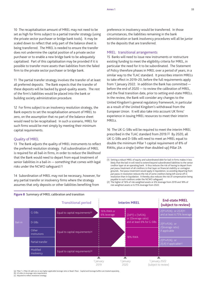10 The recapitalisation amount of MREL may not need to be set as high for firms subject to a partial transfer strategy (using the private sector purchaser or bridge bank tools). It may be scaled down to reflect that only part of the balance sheet is being transferred. The MREL is needed to ensure the transfer does not undermine the capital position of a private sector purchaser or to enable a new bridge bank to be adequately capitalised. Part of this capitalisation may be provided if it is possible to transfer more assets than liabilities from the failed firm to the private sector purchaser or bridge bank.

11 The partial transfer strategy involves the transfer of at least all preferred deposits. The Bank expects that the transfer of these deposits will be backed by good-quality assets. The rest of the firm's liabilities would be placed into the bank or building society administration procedure.

12 For firms subject to an insolvency resolution strategy, the Bank expects to set the recapitalisation amount of MREL to zero, on the assumption that no part of the balance sheet would need to be recapitalised. In such a scenario, MREL for such firms would be met simply by meeting their minimum capital requirements.

## Quality of MREL

13 The Bank adjusts the quality of MREL instruments to reflect the preferred resolution strategy. Full subordination of MREL is required for all bail-in firms, in order to reduce the likelihood that the Bank would need to depart from equal treatment of senior liabilities in a bail-in — something that comes with legal risks under the NCWO safeguard.(1)

14 Subordination of MREL may not be necessary, however, for any partial transfer or insolvency firms where the strategy assumes that only deposits or other liabilities benefiting from

preference in insolvency would be transferred. In those circumstances, the liabilities remaining in the bank administration or bank insolvency procedures will all be junior to the deposits that are transferred.

## MREL: transitional arrangements

15 Banks will need to issue new instruments or restructure existing funding to meet the eligibility criteria for MREL, in particular the need for it to be subordinated. The Statement of Policy therefore phases in MREL over a period of years, in a similar way to the TLAC standard. It prescribes interim MRELs to take effect in 2019–20, before the full requirements apply from 1 January 2022. In addition the Bank has committed before the end of 2020 — to review the calibration of MREL, and the final transition date, prior to setting end-state MRELs. In the review, the Bank will consider any changes to the United Kingdom's general regulatory framework, in particular as a result of the United Kingdom's withdrawal from the European Union. It will also take into account UK firms' experience in issuing MREL resources to meet their interim MRELs.

16 The UK G-SIBs will be required to meet the interim MREL prescribed in the TLAC standard from 2019.(2) By 2020, all UK G-SIBs and D-SIBs will need to meet an MREL equal to double the minimum Pillar 1 capital requirement of 8% of RWAs, plus a single (rather than doubled-up) Pillar 2A

(1) Setting a robust MREL of equity and subordinated debt for bail-in firms makes it less likely that the bail-in will need to extend beyond subordinated liabilities to the senior creditor layer at an operating bank. It thus reduces the risk of having to depart from *pari passu* treatment of all creditors in that layer on financial stability or contagion grounds. *Pari passu* treatment would apply in liquidation, so avoiding departing from *pari passu* in resolution reduces the risk of some creditors being left worse off in resolution than in liquidation. It thereby also reduces the risk of compensation being payable to such creditors under the NCWO safeguard.

(2) The higher of 16% of risk-weighted assets or 6% leverage from 2019 and 18% of risk-weighted assets or 6.75% leverage from 2022.



## **Figure 8** Summary of MREL calibration and transition

(a) Pillar 1 + Pillar 2A add-ons or any higher applicable leverage ratio or Basel I floor. Capital and leverage buffers are treated separately<br>(b) LR refers to leverage ratio requirement.<br>(c) Adjusted to reflect resolutio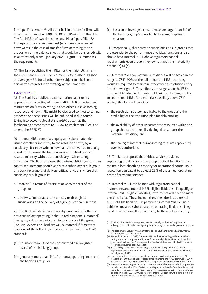firm-specific element.(1) All other bail-in or transfer firms will be required to meet an MREL of 18% of RWAs from this date. The full MRELs of two times the total Pillar 1 plus Pillar 2A firm-specific capital requirement (which may be adjusted downwards in the case of transfer firms according to the proportion of the balance sheet that would be transferred) will take effect only from 1 January 2022. Figure 8 summarises the requirements.

17 The Bank published the MRELs for the major UK firms the G-SIBs and D-SIBs — on 5 May 2017.(2) It also published an average MREL for all other firms subject to a bail-in or partial transfer resolution strategy at the same time.

## Internal MREL

18 The Bank has published a consultation paper on its approach to the setting of internal MREL.(3) It also discusses restrictions on firms investing in each other's loss-absorbing resources and how MREL might be disclosed to investors; final proposals on these issues will be published in due course taking into account global standards(4) as well as the forthcoming amendments to EU law to implement TLAC and amend the BRRD.(5)

19 Internal MREL comprises equity and subordinated debt issued directly or indirectly to the resolution entity by a subsidiary. It can be written down and/or converted to equity in order to transmit the losses arising at a subsidiary to a resolution entity without the subsidiary itself entering resolution. The Bank proposes that internal MREL greater than capital requirements should apply to a subsidiary or sub-group of a banking group that delivers critical functions where that subsidiary or sub-group is:

- • 'material' in terms of its size relative to the rest of the group; or
- • otherwise 'material', either directly or through its subsidiaries, to the delivery of a group's critical functions.

20 The Bank will decide on a case-by-case basis whether or not a subsidiary operating in the United Kingdom is 'material', having regard to the particular circumstances of the group. The Bank expects a subsidiary will be material if it meets at least one of the following criteria, consistent with the TLAC standard:

- (a) has more than 5% of the consolidated risk-weighted assets of the banking group;
- (b) generates more than 5% of the total operating income of the banking group; or

(c) has a total leverage exposure measure larger than 5% of the banking group's consolidated leverage exposure measure.

21 Exceptionally, there may be subsidiaries or sub-groups that are essential to the performance of critical functions and so should have internal MREL above regulatory capital requirements even though they do not meet the materiality criteria (a) to (c).

22 Internal MRFL for material subsidiaries will be scaled in the range of 75%–90% of the full amount of MREL that they would be required to maintain if they were a resolution entity in their own right.(6) This reflects the range set in the FSB's internal TLAC standard for internal TLAC. In deciding whether to set internal MREL for a material subsidiary above 75% scaling, the Bank will consider:

- the resolution strategy applicable to the group and the credibility of the resolution plan for delivering it;
- the availability of other uncommitted resources within the group that could be readily deployed to support the material subsidiary; and
- the scaling of internal loss-absorbing resources applied by overseas authorities.

23 The Bank proposes that critical service providers supporting the delivery of the group's critical functions must maintain loss-absorbing capacity for operational continuity in resolution equivalent to at least 25% of the annual operating costs of providing services.

24 Internal MREL can be met with regulatory capital instruments and internal MREL eligible liabilities. To qualify as internal MREL eligible liabilities, instruments will need to meet certain criteria. These include the same criteria as external MREL eligible liabilities. In particular, internal MREL eligible liabilities must be subordinated to operating liabilities. They must be issued directly or indirectly to the resolution entity.

- (2) The data are available at [www.bankofengland.co.uk/financialstability/Documents/](www.bankofengland.co.uk/financialstability/Documents/resolution/mrel_disclosure.xlsx) [resolution/mrel\\_disclosure.xlsx.](www.bankofengland.co.uk/financialstability/Documents/resolution/mrel_disclosure.xlsx)
- (3) See Bank of England (2017b), 'Internal MREL the Bank of England's approach to setting a minimum requirement for own funds and eligible liabilities (MREL) within groups, and further issues', [www.bankofengland.co.uk/financialstability/Documents/](www.bankofengland.co.uk/financialstability/Documents/resolution/mrelconsultation2017.pdf) [resolution/mrelconsultation2017.pdf](www.bankofengland.co.uk/financialstability/Documents/resolution/mrelconsultation2017.pdf).
- (4) BCBS (2016), 'Standard: TLAC holdings'; and BCBS (2017), 'Pillar 3 disclosure requirements — consolidated and enhanced framework'. Both standards take effect from 1 January 2019.
- (5) The European Commission is currently in the process of implementing the TLAC standard into EU law and has proposed amendments to the MREL framework. But it is unclear at this stage when the relevant changes will be agreed and come into effect.
- (6) Note that where a ring-fenced body is part of a material sub-group, the Bank proposes to scale the internal MREL at 90% as a starting point, unless the Bank is satisfied that the wider group has sufficient readily deployable resources to justify moving to lower calibration in the 75% to 90% range. Note that for UK groups with a simple structure, the Bank would expect to scale internal MREL at 100%.

<sup>(1)</sup> For simplicity, the numbers quoted here focus solely on the RWA requirements, although it is possible the leverage requirements may be the binding constraint on the firm.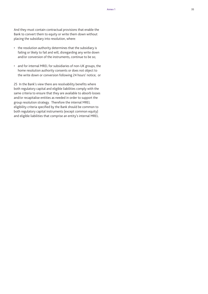And they must contain contractual provisions that enable the Bank to convert them to equity or write them down without placing the subsidiary into resolution, where:

- the resolution authority determines that the subsidiary is failing or likely to fail and will, disregarding any write down and/or conversion of the instruments, continue to be so;
- • and for internal MREL for subsidiaries of non-UK groups, the home resolution authority consents or does not object to the write down or conversion following 24 hours' notice; or

25 In the Bank's view there are resolvability benefits where both regulatory capital and eligible liabilities comply with the same criteria to ensure that they are available to absorb losses and/or recapitalise entities as needed in order to support the group resolution strategy. Therefore the internal MREL eligibility criteria specified by the Bank should be common to both regulatory capital instruments (except common equity) and eligible liabilities that comprise an entity's internal MREL.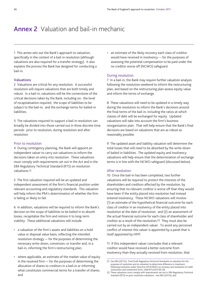## <span id="page-37-0"></span>Annex 2 Valuation and bail-in mechanic

1 This annex sets out the Bank's approach to valuation, specifically in the context of a bail-in resolution (although valuations are also required for a transfer strategy). It also explains the process the Bank has designed for conducting a bail-in.

## Valuations

2 Valuations are critical for any resolution. A successful resolution will require valuations that are both timely and robust. In a bail-in, valuations will be the cornerstone of the critical decisions taken by the Bank, including on: the level of recapitalisation required; the scope of liabilities to be subject to the bail-in; and the exchange terms for bailed-in liabilities.

3 The valuations required to support a bail-in resolution can broadly be divided into those carried out in three discrete time periods: prior to resolution, during resolution and after resolution.

## Prior to resolution

4 During contingency planning, the Bank will appoint an independent valuer to carry out valuations to inform the decisions taken on entry into resolution. These valuations must comply with requirements set out in the Act and in the EBA Regulatory Technical Standard (RTS) on resolution valuations.(1)

5 The first valuation required will be an updated and independent assessment of the firm's financial position under relevant accounting and regulatory standards. This valuation will help inform the PRA's determination of whether the firm is failing or likely to fail.

6 In addition, valuations will be required to inform the Bank's decision on the scope of liabilities to be bailed in to absorb losses, recapitalise the firm and restore it to long-term viability. These additional valuations will include:

- • a valuation of the firm's assets and liabilities on a hold value or disposal value basis, reflecting the intended resolution strategy — for the purposes of determining the necessary write-down, conversion, or transfer and, in a bail-in, informing the firm's restructuring plan;
- where applicable, an estimate of the market value of equity in the resolved firm — for the purposes of determining the allocation of shares to creditors in a bail-in or informing what constitutes commercial terms for a transfer of shares; and

• an estimate of the likely recovery each class of creditor would have received in insolvency — for the purposes of assessing the potential compensation to be paid under the no creditor worse off (NCWO) safeguard.

## During resolution

7 In a bail-in, the Bank may require further valuation analysis following the resolution weekend to inform the restructuring plan, and based on the restructuring plan assess equity value and inform the terms of exchange.

8 These valuations will need to be updated in a timely way during the resolution to inform the Bank's decisions around the final terms of the bail-in, including the ratios at which classes of debt will be exchanged for equity. Updated valuations will take into account the firm's business reorganisation plan. That will help ensure that the Bank's final decisions are based on valuations that are as robust as reasonably possible.

9 The updated asset and liability valuation will determine the total losses that will need to be absorbed by the write-down of bailed-in liabilities. The updated equity and insolvency valuations will help ensure that the determination of exchange terms is in line with the NCWO safeguard (discussed below).

## After resolution

10 Once the bail-in has been completed, two further valuations will be required to protect the interests of the shareholders and creditors affected by the resolution, by ensuring that no relevant creditor is worse off than they would have been if the entity placed into resolution had instead entered insolvency. These NCWO valuations will involve: (1) an estimate of the hypothetical financial outcome for each class of creditor in an insolvency of the entity placed into resolution at the date of resolution; and (2) an assessment of the actual financial outcome for each class of shareholder and creditor as a result of the resolution.(2) They must also be carried out by an independent valuer. To avoid any perceived conflict of interest this valuer is appointed by a panel that is itself appointed by HMT.

11 If this independent valuer concludes that a relevant creditor would have received a better outcome from insolvency than they actually received from resolution, that

<sup>(1)</sup> See EBA (2017a), 'Final Draft Regulatory Technical Standards on valuation for the purposes of resolution and on valuation to determine difference in treatment following resolution under Directive 2014/59/EU on recovery and resolution of credit institutions and investment firms', *EBA/RTS/2017/05-06*.

<sup>(2)</sup> These valuations must comply with requirements set out in EBA Regulatory Technical Standard (RTS) on post-resolution valuations. See EBA (2017a), *ibid*.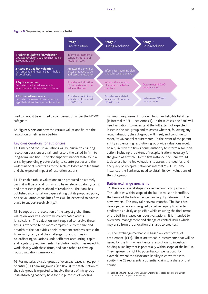#### **Figure 9** Sequencing of valuations in a bail-in



creditor would be entitled to compensation under the NCWO safeguard.

12 Figure 9 sets out how the various valuations fit into the resolution timelines in a bail-in.

## Key considerations for authorities

13 Timely and robust valuations will be crucial to ensuring resolution decisions are fair and restore the bailed-in firm to long-term viability. They also support financial stability in a crisis, by providing greater clarity to counterparties and the wider financial markets as to the scale of losses at failed firms and the expected impact of resolution actions.

14 To enable robust valuations to be produced on a timely basis, it will be crucial for firms to have relevant data, systems and processes in place ahead of resolution. The Bank has published a consultation paper setting out its proposed policy on the valuation capabilities firms will be expected to have in place to support resolvability.(1)

15 To support the resolution of the largest global firms, valuation work will need to be co-ordinated across jurisdictions. The valuation work required to resolve these firms is expected to be more complex due to the size and breadth of their activities, their interconnectedness across the financial system, and the challenges to authorities in co-ordinating valuations under different accounting, capital and regulatory requirements. Resolution authorities expect to work closely with these firms, and each other, to develop robust valuation frameworks.

16 For material UK sub-groups of overseas-based single point of entry (SPE) banking groups (se[e Box 3](#page-25-1)), the stabilisation of the sub-group is expected to involve the use of intragroup loss-absorbing capacity held for the purposes of meeting

minimum requirements for own funds and eligible liabilities (ie internal MREL — see [Annex 1\)](#page-33-0). In these cases, the Bank will need valuations to understand the full extent of expected losses in the sub-group and to assess whether, following any recapitalisation, the sub-group will meet, and continue to meet, its UK capital requirements. In the event of the parent entity also entering resolution, group-wide valuations would be required by the firm's home authority to inform resolution action, including the extent of recapitalisation necessary for the group as a whole. In the first instance, the Bank would look to use home-led valuations to assess the need for, and adequacy of, recapitalisation via internal MREL. In some instances, the Bank may need to obtain its own valuations of the sub-group.

## Bail-in exchange mechanic

17 There are several steps involved in conducting a bail-in. The liabilities within scope of the bail-in must be identified, the terms of the bail-in decided and equity delivered to the new owners. This may take several months. The Bank has developed a process designed to deliver equity to affected creditors as quickly as possible while ensuring the final terms of the bail-in is based on robust valuations. It is intended to overcome management and change of control issues which may arise from the allocation of shares to creditors.

18 The 'exchange mechanic' is based on 'certificates of entitlement' (CEs). These are tradable instruments that will be issued by the firm, when it enters resolution, to investors holding a liability that is potentially within scope of the bail-in. They represent a right to potential compensation. For example, where the associated liability is converted into equity, the CE represents a potential claim to a share of that equity.

<sup>(1)</sup> Bank of England (2017a), 'The Bank of England's proposed policy on valuation capabilities to support resolvability'.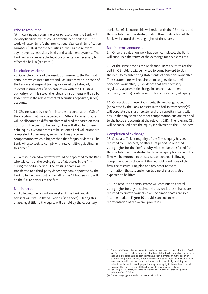## Prior to resolution

19 In contingency planning prior to resolution, the Bank will identify liabilities which could potentially be bailed in. This work will also identify the International Standard Identification Numbers (ISINs) for the securities as well as the relevant paying agents, depositary banks and settlement systems. The Bank will also prepare the legal documentation necessary to effect the bail-in (see [Part 2\)](#page-22-1).

## Resolution weekend

20 Over the course of the resolution weekend, the Bank will announce which instruments and liabilities may be in scope of the bail-in and suspend trading, or cancel the listing of, relevant instruments (in co-ordination with the UK listing authority). At this stage, the relevant instruments will also be frozen within the relevant central securities depositary (CSD) accounts.

21 CEs are issued by the firm into the accounts at the CSD of the creditors that may be bailed in. Different classes of CEs will be allocated to different classes of creditor based on their position in the creditor hierarchy. This will allow for different debt-equity exchange rates to be set once final valuations are completed. For example, senior debt may receive compensation which is higher than that for junior debt.(1) The Bank will also seek to comply with relevant EBA guidelines in this area.(2)

22 A resolution administrator would be appointed by the Bank who will control the voting rights of all shares in the firm during the bail-in period. The existing shares will be transferred to a third-party depositary bank appointed by the Bank to be held on trust on behalf of the CE holders who will be the future owners of the firm.

## Bail-in period

23 Following the resolution weekend, the Bank and its advisers will finalise the valuations (see above). During this phase, legal title to the equity will be held by the depositary bank. Beneficial ownership will reside with the CE holders and the resolution administrator, under ultimate direction of the Bank, will control the voting rights of the shares.

#### Bail-in terms announced

24 Once the valuation work has been completed, the Bank will announce the terms of the exchange for each class of CE.

25 At the same time as the Bank announces the terms of the bail-in, CE holders will be invited to come forward to claim their equity by submitting statements of beneficial ownership. These statements will require them to (i) evidence their beneficial ownership; (ii) evidence that any necessary regulatory approvals (ie change in control) have been obtained; and (iii) confirm instructions for delivery of equity.

26 On receipt of these statements, the exchange agent (appointed by the Bank to assist in the bail-in transaction)(3) will populate the share register and the depositary bank will ensure that any shares or other compensation due are credited to the holders' accounts at the relevant CSD. The relevant CEs will be cancelled once the equity is delivered to the CE holders.

#### Completion of exchange

27 Once a sufficient majority of the firm's equity has been returned to CE holders, or after a set period has elapsed, voting rights for the firm's equity will then be transferred from the resolution administrator to the new equity holders and the firm will be returned to private sector control. Following comprehensive disclosure of the financial conditions of the firm, the restructuring plan and any other relevant information, the suspension on trading of shares is also expected to be lifted.

28 The resolution administrator will continue to control voting rights for any unclaimed shares, until those shares are returned to private ownership or unclaimed shares are sold into the market. Figure 10 provides an end-to-end representation of the overall processes.

<sup>(1)</sup> The use of differential conversion rates might be necessary to ensure that the NCWO safeguard is respected, for example if subordinated debt has been treated *pari passu* in the bail-in but certain senior debt claims have been exempted from the bail-in on discretionary grounds. Setting a higher conversion rate for those senior creditors who have been bailed in than for the subordinated creditors would, by providing the bailed-in senior creditors with proportionately more equity in the resolved firm, help to ensure they are no worse off than they would have been in insolvency.

<sup>(2)</sup> See EBA (2017b), 'Final guidelines on the rate of conversion of debt to equity in bail-in', *EBA/GL/2017/03*.

<sup>(3)</sup> The exchange agent may also be the depositary bank.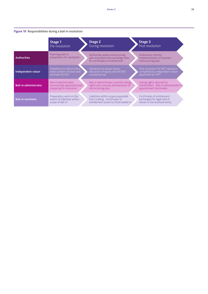## **Figure 10** Responsibilities during a bail-in resolution

|                              | Stage 1<br>Pre-resolution                                                        | Stage 2<br>During resolution                                                                                 | Stage 3<br>Post-resolution                                                                   |  |
|------------------------------|----------------------------------------------------------------------------------|--------------------------------------------------------------------------------------------------------------|----------------------------------------------------------------------------------------------|--|
| <b>Authorities</b>           | Planning work in<br>preparation for resolution                                   | Authorities assess restructuring<br>plan and determine exchange ratio<br>for certificates of entitlement.    | Authorities monitor<br>implementation of business<br>restructuring plan                      |  |
| Independent valuer           | Valuations to inform entry,<br>assess extent of losses and<br>estimate NCWO      | Valuations to assess losses,<br>allocation of equity and NCWO<br>counterfactual                              | Post-resolution NCWO valuation<br>completed by independent valuer<br>appointed by HMT        |  |
| <b>Bail-in administrator</b> | Bail-in administrator<br>provisionally appointed and<br>preparing for resolution | Bail-in administrator controls voting<br>rights and oversees development of<br>restructuring plan            | Voting rights returned to<br>shareholders. Bail-in administrator's<br>appointment terminates |  |
| <b>Bail-in mechanic</b>      | Preparatory work on the<br>extent of liabilities within<br>scope of bail-in      | Liabilities within scope suspended<br>from trading. Certificates of<br>entitlement issued to those bailed-in | Certificates of entitlement<br>exchanged for legal title of<br>shares in the resolved entity |  |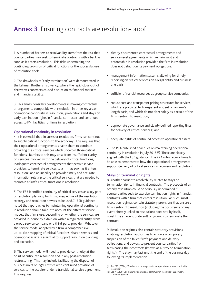## <span id="page-41-0"></span>Annex 3 Ensuring contracts are resolution-proof

1 A number of barriers to resolvability stem from the risk that counterparties may seek to terminate contracts with a bank as soon as it enters resolution. This risks undermining the continuing provision of critical functions or the successful use of resolution tools.

2 The drawbacks of 'early termination' were demonstrated in the Lehman Brothers insolvency, where the rapid close-out of derivatives contracts caused disruption to financial markets and financial stability.

3 This annex considers developments in making contractual arrangements compatible with resolution in three key areas: operational continuity in resolution; prohibitions and stays on early termination rights in financial contracts; and continued access to FMI facilities for firms in resolution.

## Operational continuity in resolution

4 It is essential that, in stress or resolution, firms can continue to supply critical functions to the economy. This requires that their operational arrangements enable them to continue providing the critical services which underpin those critical functions. Barriers to this may arise from insufficient clarity on services involved with the delivery of critical functions; inadequate contractual arrangements that permit service providers to terminate services to a firm as soon as it enters resolution; and an inability to provide timely and accurate information relating to the critical services that are needed to maintain a firm's critical functions in resolution.

5 The FSB identified continuity of critical services as a key part of resolution planning for firms, irrespective of the resolution strategy and resolution powers to be used.<sup>(1)</sup> FSB guidance noted that approaches to maintaining operational continuity in resolution should take into account the different service models that firms use, depending on whether the services are provided in-house by a division within a regulated entity, from a group service company or a third-party provider. Whatever the service model adopted by a firm, a comprehensive, up-to-date mapping of critical functions, shared services and operational assets is essential to support resolution planning and execution.

6 The service model will need to provide continuity at the point of entry into resolution and in any post-resolution restructuring. This may include facilitating the disposal of business units or legal entities with continued provision of services to the acquirer under a transitional service agreement. This requires:

- • clearly documented contractual arrangements and service-level agreements which remain valid and enforceable in resolution provided the firm in resolution does not default on its payment obligations;
- management information systems allowing for timely reporting on critical services on a legal entity and business line basis;
- • sufficient financial resources at group service companies;
- • robust cost and transparent pricing structures for services, which are predictable, transparent and set on an arm's length basis, and which do not alter solely as a result of the firm's entry into resolution;
- • appropriate governance and clearly defined reporting lines for delivery of critical services; and
- adequate rights of continued access to operational assets.

7 The PRA published final rules on maintaining operational continuity in resolution in July 2016.(2) These are closely aligned with the FSB guidance. The PRA rules require firms to be able to demonstrate how their operational arrangements support delivery of critical services in recovery and resolution.

## Stays on termination rights

8 Another barrier to resolvability relates to stays on termination rights in financial contracts. The prospects of an orderly resolution could be seriously undermined if counterparties seek to exercise termination rights in financial contracts with a firm that enters resolution. As such, most resolution regimes contain statutory provisions that ensure a firm's entry into resolution (including the occurrence of any event directly linked to resolution) does not, by itself, constitute an event of default or grounds to terminate the contract.

9 Resolution regimes also contain statutory provisions enabling resolution authorities to enforce a temporary suspension of the failed firm's payment and delivery obligations, and powers to prevent counterparties from terminating their contracts (known as a 'stay on termination rights'). The stay may last until the end of the business day following its implementation.

<sup>(1)</sup> See FSB (2016c), 'Guidance on arrangements to support operational continuity in resolution'.

<sup>(2)</sup> See PRA (2016c), 'Ensuring operational continuity in resolution', *Supervisory Statement SS9/16*.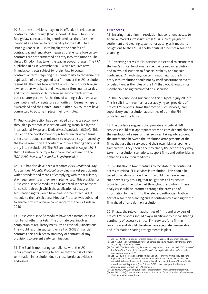10 But these provisions may not be effective in relation to contracts under foreign (that is, non-EEA) law. The risk of foreign law contracts being terminated has therefore been identified as a barrier to resolvability by the FSB. The FSB issued guidance in 2015 to highlight the benefits of contractual and regulatory measures that ensure foreign law contracts are not terminated on entry into resolution.(1) The United Kingdom has taken the lead in adopting rules. The PRA published rules in November 2015 which requires new financial contracts subject to foreign law to contain contractual terms requiring the counterparty to recognise the application of a stay applied to a firm under the UK resolution regime.(2) The rules took effect from 1 June 2016 for foreign law contracts with bank and investment firm counterparties and from 1 January 2017 for foreign law contracts with all other counterparties. At the time of writing, rules have also been published by regulatory authorities in Germany, Japan, Switzerland and the United States. Other FSB countries have committed to putting in place their own rules.

11 Public sector action has been aided by private sector work through a joint trade association working group, led by the International Swaps and Derivatives Association (ISDA). This has led to the development of protocols under which firms enter a contractual commitment to respect a stay imposed by the home resolution authority of another adhering party on its entry into resolution.(3) The FSB announced in August 2016 that 23 systemically important banks had adhered to the *ISDA 2015 Universal Resolution Stay Protocol*.(4)

12 ISDA has also developed a separate *ISDA Resolution Stay Jurisdictional Modular Protocol* providing market participants with a standardised means of complying with the regulatory stay requirements as they are implemented. This provides for jurisdiction-specific Modules to be adopted in each relevant jurisdiction, through which the application of a stay on termination rights would have cross-border effect. A UK module to the Jurisdictional Modular Protocol was published to enable firms to achieve compliance with the PRA rule in 2016.(5)

13 Jurisdiction-specific Modules have been introduced in a number of other markets. The ultimate goal involves completion of regulatory measures to cover all jurisdictions. This would result in substantively all of G-SIBs' financial contracts being subject to statutory or contractual stay provisions to prevent early termination.

14 The Bank is monitoring compliance with the UK requirements and working to ensure that the risk of early termination in resolution due to cross-border activities is addressed.

#### FMI access

15 Ensuring that a firm in resolution has continued access to financial market infrastructures (FMIs), such as payment, settlement and clearing systems, for as long as it meets its obligations to the FMI, is another critical aspect of resolution planning.

16 Preserving access to FMI services is essential to ensure that the firm's critical functions can be maintained in resolution and to avoid disruption to financial stability and market confidence. As with stays on termination rights, the firm's entry into resolution should not by itself constitute an event of default under the rules of the FMI that would result in its membership being terminated or suspended.

17 The FSB published guidance on this subject in July 2017.(6) This is spilt into three main areas applying to: providers of critical FMI services; firms that receive such services; and supervisory and resolution authorities of both the FMI providers and the firms.

18 The guidance suggests that providers of critical FMI services should take appropriate steps to consider and plan for the resolution of a user of their services, taking into account the interaction between the resolution arrangements of the firms that use their services and their own risk management frameworks. They should thereby clarify the actions they may take in a resolution scenario to support firms and authorities in enhancing resolution readiness.

19 G-SIBs should take measures to facilitate their continued access to critical FMI services in resolution. This should be based on analysis of how the firm would maintain access to such services by ensuring that obligations to FMI service providers continue to be met throughout resolution. These analyses should be informed through the provision of information by the firm to the relevant authorities, both as part of resolution planning and in contingency planning by the firm ahead of, and during, resolution.

20 Finally, the relevant authorities of firms and providers of critical FMI services should play a significant role in facilitating continuity of access to critical FMI services for a firm in resolution and should therefore have adequate co-operation and information sharing arrangements in place.

<sup>(1)</sup> See FSB (2015b), 'Principles for cross-border effectiveness of resolution actions'. (2) See PRA (2015b), 'Contractual stays in financial contracts governed by third country

law', *Policy Statement PS25/15*.

<sup>(3)</sup> *The ISDA 2014 Resolution Stay Protocol* was expanded to form the *ISDA 2015 Universal Resolution Stay Protocol*. See [https://www2.isda.org/functional-areas/protocol](https://www2.isda.org/functional-areas/protocol-management/protocol/22)[management/protocol/22](https://www2.isda.org/functional-areas/protocol-management/protocol/22).

<sup>(4)</sup> See FSB (2016d), 'Resilience through resolvability — moving from policy design to implementation', *5th Report to the G20 on Progress in Resolution*. Since then two more G-SIBs have adhered, which means that all but one of the non-Chinese G-SIBs now adhere to this protocol (the Chinese G-SIBs have been permitted up to six additional years to meet the TLAC standard).

See https://www2.isda.org/functional-areas/protocol-management/protocol/25.

<sup>(6)</sup> See FSB (2017c), 'Guidance on continuity of access to financial market infrastructures ('FMIs') for a firm in resolution'.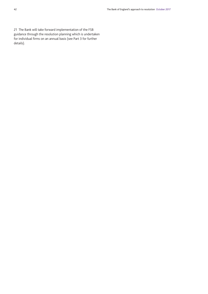21 The Bank will take forward implementation of the FSB guidance through the resolution planning which is undertaken for individual firms on an annual basis (see [Part 3](#page-28-0) for further details).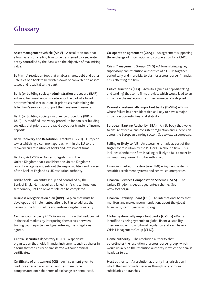## **Glossary**

Asset management vehicle (AMV) – A resolution tool that allows assets of a failing firm to be transferred to a separate entity controlled by the Bank with the objective of maximising value.

Bail-in – A resolution tool that enables shares, debt and other liabilities of a bank to be written down or converted to absorb losses and recapitalise the bank.

Bank (or building society) administration procedure (BAP) – A modified insolvency procedure for the part of a failed firm not transferred in resolution. It prioritises maintaining the failed firm's services to support the transferred business.

Bank (or building society) insolvency procedure (BIP or BSIP) – A modified insolvency procedure for banks or building societies that prioritises the rapid payout or transfer of insured deposits.

Bank Recovery and Resolution Directive (BRRD) – European law establishing a common approach within the EU to the recovery and resolution of banks and investment firms.

Banking Act 2009 – Domestic legislation in the United Kingdom that established the United Kingdom's resolution regime and sets out the responsibilities and powers of the Bank of England as UK resolution authority.

Bridge bank – An entity set up and controlled by the Bank of England. It acquires a failed firm's critical functions temporarily, until an onward sale can be completed.

Business reorganisation plan (BRP) – A plan that must be developed and implemented after a bail-in to address the causes of the firm's failure and restore long-term viability.

Central counterparty (CCP) – An institution that reduces risk in financial markets by interposing themselves between trading counterparties and guaranteeing the obligations agreed.

Central securities depositary (CSD) – A specialist organisation that holds financial instruments such as shares in a form that can easily be transferred without physical certificates.

Certificate of entitlement (CE) – An instrument given to creditors after a bail-in which entitles them to be compensated once the terms of exchange are announced. Co-operation agreement (CoAg) – An agreement supporting the exchange of information and co-operation for a CMG.

Crisis Management Group (CMG) – A forum bringing key supervisory and resolution authorities of a G-SIB together periodically and in a crisis, to plan for a cross-border financial crisis affecting the firm.

Critical functions (CFs) – Activities (such as deposit-taking and lending) that some firms provide, which would lead to an impact on the real economy if they immediately stopped.

Domestic systemically important banks (D-SIBs) – Firms whose failure has been identified as likely to have a major impact on domestic financial stability.

European Banking Authority (EBA) – An EU body that works to ensure effective and consistent regulation and supervision across the European banking sector. See www.eba.europa.eu.

Failing or likely to fail – An assessment made as part of the trigger for resolution by the PRA or FCA about a firm. This includes whether the firm is failing or likely to fail to meet its minimum requirements to be authorised.

Financial market infrastructure (FMI) – Payment systems, securities settlement systems and central counterparties.

Financial Services Compensation Scheme (FSCS) – The United Kingdom's deposit guarantee scheme. See www.fscs.org.uk.

Financial Stability Board (FSB) – An international body that monitors and makes recommendations about the global financial system. See www.fsb.org.

Global systemically important banks (G-SIBs) – Banks identified as being systemic to global financial stability. They are subject to additional regulation and each have a Crisis Management Group (CMG).

Home authority – The resolution authority that co-ordinates the resolution of a cross-border group, which would usually be the resolution authority in which the bank is headquartered.

Host authority – A resolution authority in a jurisdiction in which the firm provides services through one or more subsidiaries or branches.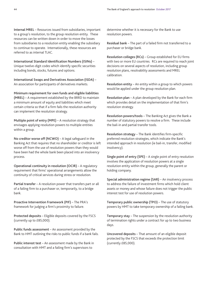Internal MREL – Resources issued from subsidiaries, important to a group's resolution, to the group resolution entity. These resources can be written down in order to move the losses from subsidiaries to a resolution entity enabling the subsidiary to continue to operate. Internationally, these resources are referred to as internal TLAC.

International Standard Identification Numbers (ISINs) – Unique twelve-digit codes which identify specific securities including bonds, stocks, futures and options.

International Swaps and Derivatives Association (ISDA) – An association for participants of derivatives markets.

Minimum requirement for own funds and eligible liabilities (MREL) – A requirement established by the BRRD to maintain a minimum amount of equity and liabilities which meet certain criteria so that if a firm fails the resolution authority can implement the resolution strategy.

Multiple point of entry (MPE) – A resolution strategy that envisages applying resolution powers to multiple entities within a group.

No creditor worse off (NCWO) – A legal safeguard in the Banking Act that requires that no shareholder or creditor is left worse off from the use of resolution powers than they would have been had the whole bank been placed into an insolvency process.

Operational continuity in resolution (OCIR) – A regulatory requirement that firms' operational arrangements allow the continuity of critical services during stress or resolution.

Partial transfer – A resolution power that transfers part or all of a failing firm to a purchaser or, temporarily, to a bridge bank.

Proactive Intervention Framework (PIF) – The PRA's framework for judging a firm's proximity to failure.

Protected deposits – Eligible deposits covered by the FSCS (currently up to £85,000).

Public funds assessment – An assessment provided by the Bank to HMT outlining the risks to public funds if a bank fails.

Public interest test – An assessment made by the Bank in consultation with HMT and a failing firm's supervisors to

determine whether it is necessary for the Bank to use resolution powers.

Residual bank – The part of a failed firm not transferred to a purchaser or bridge bank.

Resolution colleges (RCs) – Group established for EU firms with two or more EU countries. RCs are required to reach joint decisions on several aspects of resolution, including group resolution plans, resolvability assessments and MREL calibration.

Resolution entity – An entity within a group to which powers would be applied under the group resolution plan.

Resolution plan – A plan developed by the Bank for each firm which provides detail on the implementation of that firm's resolution strategy.

Resolution powers/tools – The Banking Act gives the Bank a number of statutory powers to resolve a firm. These include the bail-in and partial transfer tools.

Resolution strategy – The Bank identifies firm-specific preferred resolution strategies, which indicate the Bank's intended approach in resolution (ie bail-in, transfer, modified insolvency).

Single point of entry (SPE) – A single point of entry resolution involves the application of resolution powers at a single resolution entity within the group, generally the parent or holding company.

Special administration regime (SAR) – An insolvency process to address the failure of investment firms which hold client assets or money and whose failure does not trigger the public interest test for use of resolution powers.

Temporary public ownership (TPO) – The use of statutory powers by HMT to take temporary ownership of a failing bank.

Temporary stay – The suspension by the resolution authority of termination rights under a contract for up to two business days.

Uncovered deposits – That amount of an eligible deposit protected by the FSCS that exceeds the protection limit (currently £85,000).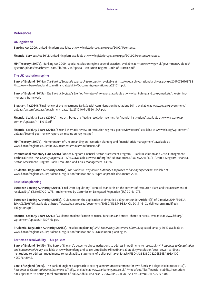## References

#### UK legislation

Banking Act 2009, United Kingdom, available at www.legislation.gov.uk/ukpga/2009/1/contents.

Financial Services Act 2012, United Kingdom, available at www.legislation.gov.uk/ukpga/2012/21/contents/enacted.

HM Treasury (2017a), 'Banking Act 2009: special resolution regime code of practice', available at [https://www.gov.uk/government/uploads/](https://www.gov.uk/government/uploads/system/uploads/attachment_data/file/602948/Special-Resolution-Regime-Code-of-Practice.pdf) [system/uploads/attachment\\_data/file/602948/Special-Resolution-Regime-Code-of-Practice.pdf.](https://www.gov.uk/government/uploads/system/uploads/attachment_data/file/602948/Special-Resolution-Regime-Code-of-Practice.pdf)

## The UK resolution regime

Bank of England (2014a), *The Bank of England's approach to resolution*, available at http://webarchive.nationalarchives.gov.uk/20170726163738 [/http:/www.bankofengland.co.uk/financialstability/Documents/resolution/apr231014.pdf.](http://webarchive.nationalarchives.gov.uk/20170726163738/http:/www.bankofengland.co.uk/financialstability/Documents/resolution/apr231014.pdf) 

Bank of England (2015a), *The Bank of England's Sterling Monetary Framework*, available at [www.bankofengland.co.uk/markets/the-sterling](www.bankofengland.co.uk/markets/Documents/money/publications/redbook.pdf)[monetary-framework.](www.bankofengland.co.uk/markets/Documents/money/publications/redbook.pdf) 

Bloxham, P (2014), 'Final review of the Investment Bank Special Administration Regulations 2011', available at [www.gov.uk/government/](www.gov.uk/government/uploads/system/uploads/attachment_data/file/271040/PU1560_SAR.pdf) [uploads/system/uploads/attachment\\_data/file/271040/PU1560\\_SAR.pdf](www.gov.uk/government/uploads/system/uploads/attachment_data/file/271040/PU1560_SAR.pdf).

Financial Stability Board (2014a), 'Key attributes of effective resolution regimes for financial institutions', available at [www.fsb.org/wp](www.fsb.org/wp-content/uploads/r_141015.pdf)[content/uploads/r\\_141015.pdf](www.fsb.org/wp-content/uploads/r_141015.pdf).

Financial Stability Board (2016), 'Second thematic review on resolution regimes, peer review report', available at [www.fsb.org/wp-content/](www.fsb.org/wp-content/uploads/Second-peer-review-report-on-resolution-regimes.pdf) [uploads/Second-peer-review-report-on-resolution-regimes.pdf.](www.fsb.org/wp-content/uploads/Second-peer-review-report-on-resolution-regimes.pdf)

HM Treasury (2017b), 'Memorandum of Understanding on resolution planning and financial crisis management', available at www.bankofengland.co.uk/about/Documents/mous/moufincrisis.pdf.

International Monetary Fund (2016), 'United Kingdom Financial Sector Assessment Program — Bank Resolution and Crisis Management Technical Note', *IMF Country Report No. 16/155*, available at www.imf.org/en/Publications/CR/Issues/2016/12/31/United-Kingdom-Financial-Sector-Assessment-Program-Bank-Resolution-and-Crisis-Management-43966.

Prudential Regulation Authority (2016a), *The Prudential Regulation Authority's approach to banking supervision*, available at www.bankofengland.co.uk/prudential-regulation/publication/2016/pra-approach-documents-2016.

## Resolution planning

European Banking Authority (2014), 'Final Draft Regulatory Technical Standards on the content of resolution plans and the assessment of resolvability', *EBA/RTS/2014/15*. Implemented by Commission Delegated Regulation (EU) 2016/1075.

European Banking Authority (2015a), 'Guidelines on the application of simplified obligations under Article 4(5) of Directive 2014/59/EU', *EBA/GL/2015/16*, available at [https://www.eba.europa.eu/documents/10180/1135541/EBA-GL-2015-16+Guidelines+on+simplified+](https://www.eba.europa.eu/documents/10180/1135541/EBA-GL-2015-16%2BGuidelines%2Bon%2Bsimplified%2Bobligations.pdf) [obligations.pdf.](https://www.eba.europa.eu/documents/10180/1135541/EBA-GL-2015-16%2BGuidelines%2Bon%2Bsimplified%2Bobligations.pdf)

Financial Stability Board (2013), 'Guidance on identification of critical functions and critical shared services', available at [www.fsb.org/](www.fsb.org/wp-content/uploads/r_130716a.pdf) [wp-content/uploads/r\\_130716a.pdf.](www.fsb.org/wp-content/uploads/r_130716a.pdf)

Prudential Regulation Authority (2015a), 'Resolution planning', *PRA Supervisory Statement SS19/13*, updated January 2015, available at www.bankofengland.co.uk/prudential-regulation/publication/2013/resolution-planning-ss.

## Barriers to resolvability — UK policies

Bank of England (2015b), 'The Bank of England's power to direct institutions to address impediments to resolvability', *Responses to Consultation and Statement of Policy*, available at www.bankofengland.co.uk/-/media/boe/files/financial-stability/resolution/boes-power-to-directinstitutions-to-address-impediments-to-resolvability-statement-of-policy.pdf?la=en&hash=F13D4A38B380D8206E245AB9EA1DC 4950F6489AE.

Bank of England (2016), 'The Bank of England's approach to setting a minimum requirement for own funds and eligible liabilities (MREL)', *Responses to Consultation and Statement of Policy*, available at www.bankofengland.co.uk/-/media/boe/files/financial-stability/resolution/ [boes-approach-to-setting-mrel-statement-of-policy.pdf?la=en&hash=7D56C3B5CD3F5B370EF79F31978BD3EAC0191C88.](https://www.bankofengland.co.uk/-/media/boe/files/financial-stability/resolution/boes-approach-to-setting-mrel-statement-of-policy.pdf?la=en&hash=7D56C3B5CD3F5B370EF79F31978BD3EAC0191C88)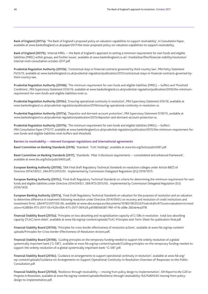Bank of England (2017a), 'The Bank of England's proposed policy on valuation capabilities to support resolvability', *A Consultation Paper*, available at www.bankofengland.co.uk/paper/2017/the-boes-proposed-policy-on-valuation-capabilities-to-support-resolvability.

Bank of England (2017b), 'Internal MREL — the Bank of England's approach to setting a minimum requirement for own funds and eligible [liabilities \(MREL\) within groups, and further issues', available at www.bankofengland.co.uk/-/media/boe/files/financial-stability/resolution/](https://www.bankofengland.co.uk/-/media/boe/files/financial-stability/resolution/internal-mrel-consultation-october-2017.pdf?la=en&hash=33594C3FB3C7F1D129033AFE4E3A2BF20A4F9AA8) internal-mrel-consultation-october-2017.pdf.

Prudential Regulation Authority (2015b), 'Contractual stays in financial contracts governed by third-country law', *PRA Policy Statement PS25/15*, available at www.bankofengland.co.uk/prudential-regulation/publication/2015/contractual-stays-in-financial-contracts-governed-bythird-country-law.

Prudential Regulation Authority (2016b), 'The minimum requirement for own funds and eligible liabilities (MREL) — buffers and Threshold Conditions', *PRA Supervisory Statement SS16/16*, available at www.bankofengland.co.uk/prudential-regulation/publication/2016/the-minimumrequirement-for-own-funds-and-eligible-liabilities-mrel-ss.

Prudential Regulation Authority (2016c), 'Ensuring operational continuity in resolution', *PRA Supervisory Statement SS9/16*, available at www.bankofengland.co.uk/prudential-regulation/publication/2016/ensuring-operational-continuity-in-resolution-ss.

Prudential Regulation Authority (2017a), 'Depositor and dormant account protection', *PRA Supervisory Statement SS18/15*, available at www.bankofengland.co.uk/prudential-regulation/publication/2015/depositor-and-dormant-account-protection-ss.

Prudential Regulation Authority (2017b), 'The minimum requirement for own funds and eligible liabilities (MREL) — buffers', *PRA Consultation Paper CP15/17*, available at www.bankofengland.co.uk/prudential-regulation/publication/2015/the-minimum-requirement-forown-funds-and-eligible-liabilities-mrel-buffers-and-threshold.

#### Barriers to resolvability — relevant European regulations and international agreements

Basel Committee on Banking Standards (2016), 'Standard: TLAC holdings', available at www.bis.org/bcbs/publ/d387.pdf.

Basel Committee on Banking Standards (2017), 'Standards: Pillar 3 disclosure requirements — consolidated and enhanced framework', available at www.bis.org/bcbs/publ/d400.pdf.

European Banking Authority (2015b), 'EBA Final draft Regulatory Technical Standards on resolution colleges under Article 88(7) of Directive 2014/59/EU', *EBA/RTS/2015/03*. Implemented by Commission Delegated Regulation (EU) 2016/1075.

European Banking Authority (2015c), 'Final draft Regulatory Technical Standards on criteria for determining the minimum requirement for own funds and eligible liabilities under Directive 2014/59/EU', *EBA/RTS/2015/05*. Implemented by Commission Delegated Regulation (EU) 2016/1450.

European Banking Authority (2017a), 'Final Draft Regulatory Technical Standards on valuation for the purposes of resolution and on valuation to determine difference in treatment following resolution under Directive 2014/59/EU on recovery and resolution of credit institutions and investment firms', *EBA/RTS/2017/05-06*, available at [www.eba.europa.eu/documents/10180/1853532/Final+draft+RTSs+on+valuation+in+resol](www.eba.europa.eu/documents/10180/1853532/Final%2Bdraft%2BRTSs%2Bon%2Bvaluation%2Bin%2Bresolution%2B%2528EBA-RTS-2017-05%2B%2526%2BEBA-RTS-2017-06%2529.pdf/88566587-ff6f-4116-a08e-282eb4ea2f78) [ution+%28EBA-RTS-2017-05+%26+EBA-RTS-2017-06%29.pdf/88566587-ff6f-4116-a08e-282eb4ea2f78.](www.eba.europa.eu/documents/10180/1853532/Final%2Bdraft%2BRTSs%2Bon%2Bvaluation%2Bin%2Bresolution%2B%2528EBA-RTS-2017-05%2B%2526%2BEBA-RTS-2017-06%2529.pdf/88566587-ff6f-4116-a08e-282eb4ea2f78)

Financial Stability Board (2015a), 'Principles on loss-absorbing and recapitalisation capacity of G-SIBs in resolution: total loss-absorbing capacity (TLAC) term sheet', available at www.fsb.org/wp-content/uploads/TLAC-Principles-and-Term-Sheet-for-publication-final.pdf.

Financial Stability Board (2015b), 'Principles for cross-border effectiveness of resolution actions', available at [www.fsb.org/wp-content/](www.fsb.org/wp-content/uploads/Principles-for-Cross-border-Effectiveness-of-Resolution-Actions.pdf) [uploads/Principles-for-Cross-border-Effectiveness-of-Resolution-Actions.pdf.](www.fsb.org/wp-content/uploads/Principles-for-Cross-border-Effectiveness-of-Resolution-Actions.pdf)

Financial Stability Board (2016b), 'Guiding principles on the temporary funding needed to support the orderly resolution of a global systemically important bank ('G-SIB')', available at www.fsb.org/wp-content/uploads/Guiding-principles-on-the-temporary-funding-needed-tosupport-the-orderly-resolution-of-a-global-systemically-important-bank-"G-SIB".pdf.

Financial Stability Board (2016c), 'Guidance on arrangements to support operational continuity in resolution', available at [www.fsb.org/](www.fsb.org/wp-content/uploads/Guidance-on-Arrangements-to-Support-Operational-Continuity-in-Resolution-Overview-of-Responses-to-the-Public-Consultation.pdf) [wp-content/uploads/Guidance-on-Arrangements-to-Support-Operational-Continuity-in-Resolution-Overview-of-Responses-to-the-Public-](www.fsb.org/wp-content/uploads/Guidance-on-Arrangements-to-Support-Operational-Continuity-in-Resolution-Overview-of-Responses-to-the-Public-Consultation.pdf)[Consultation.pdf.](www.fsb.org/wp-content/uploads/Guidance-on-Arrangements-to-Support-Operational-Continuity-in-Resolution-Overview-of-Responses-to-the-Public-Consultation.pdf)

Financial Stability Board (2016d), 'Resilience through resolvability — moving from policy design to implementation', *5th Report to the G20 on Progress in Resolution*, available at www.fsb.org/wp-content/uploads/Resilience-through-resolvability-%E2%80%93-moving-from-policydesign-to-implementation.pdf.